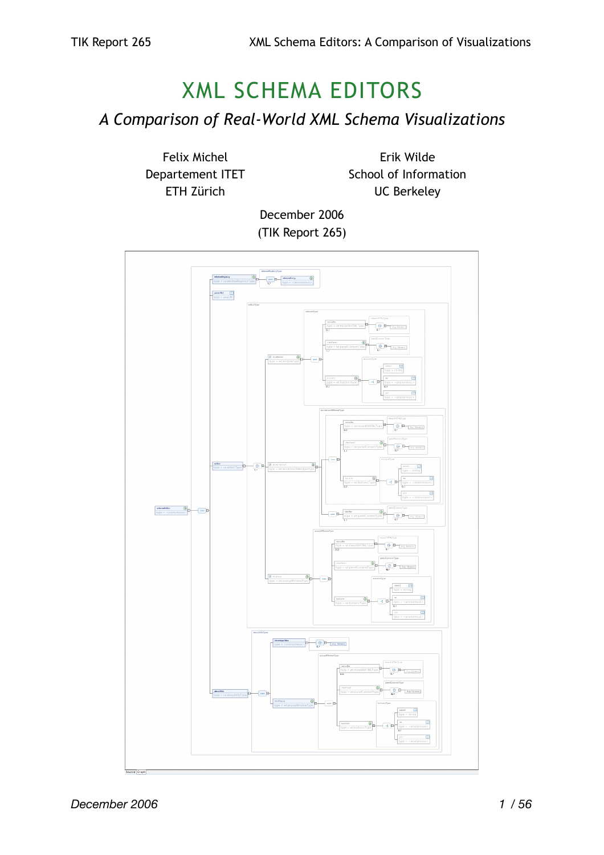# XML SCHEMA EDITORS

*A Comparison of Real-World XML Schema Visualizations*

Felix Michel Departement ITET ETH Zürich

Erik Wilde School of Information UC Berkeley

December 2006 (TIK Report 265)

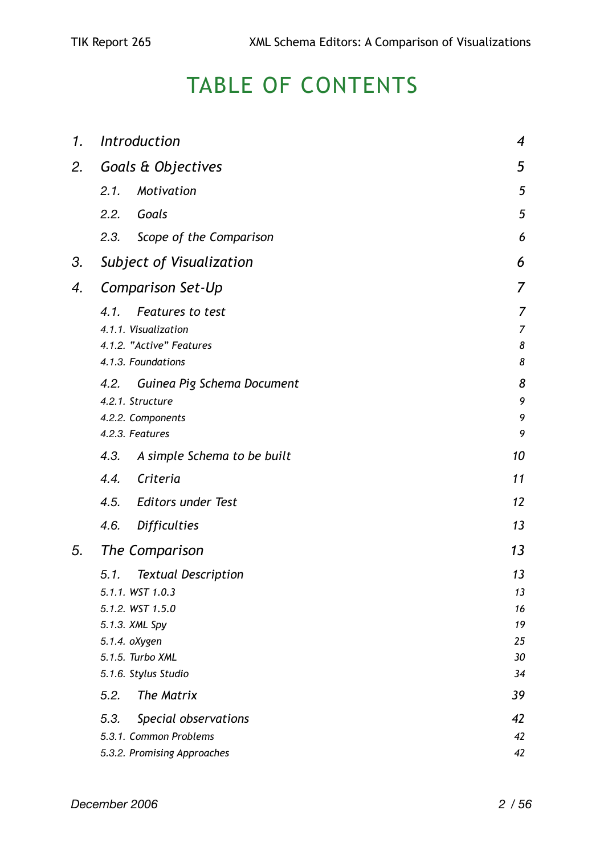# TABLE OF CONTENTS

| 1. | Introduction                        | $\overline{\mathcal{A}}$ |
|----|-------------------------------------|--------------------------|
| 2. | Goals & Objectives                  | 5                        |
|    | 2.1.<br>Motivation                  | 5                        |
|    | 2.2.<br>Goals                       | 5                        |
|    | Scope of the Comparison<br>2.3.     | 6                        |
| 3. | Subject of Visualization            | 6                        |
| 4. | Comparison Set-Up                   | $\overline{7}$           |
|    | Features to test<br>4.1.            | 7                        |
|    | 4.1.1. Visualization                | $\overline{7}$           |
|    | 4.1.2. "Active" Features            | 8                        |
|    | 4.1.3. Foundations                  | 8                        |
|    | Guinea Pig Schema Document<br>4.2.  | 8                        |
|    | 4.2.1. Structure                    | 9                        |
|    | 4.2.2. Components                   | 9                        |
|    | 4.2.3. Features                     | 9                        |
|    | 4.3.<br>A simple Schema to be built | 10                       |
|    | Criteria<br>4.4.                    | 11                       |
|    | 4.5.<br><b>Editors under Test</b>   | 12                       |
|    | 4.6.<br><b>Difficulties</b>         | 13                       |
| 5. | The Comparison                      | 13                       |
|    | 5.1.<br><b>Textual Description</b>  | 1 <sub>3</sub>           |
|    | 5.1.1. WST 1.0.3                    | 13                       |
|    | 5.1.2. WST 1.5.0                    | 16                       |
|    | 5.1.3. XML Spy                      | 19                       |
|    | 5.1.4. oXygen                       | 25                       |
|    | 5.1.5. Turbo XML                    | 30<br>34                 |
|    | 5.1.6. Stylus Studio                |                          |
|    | 5.2.<br>The Matrix                  | 39                       |
|    | 5.3.<br>Special observations        | 42                       |
|    | 5.3.1. Common Problems              | 42                       |
|    | 5.3.2. Promising Approaches         | 42                       |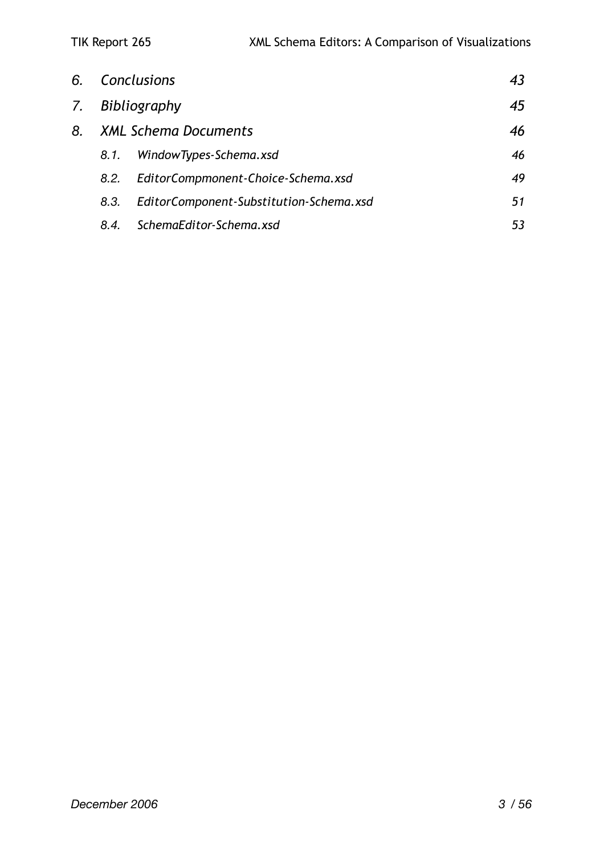|    |      | 6. Conclusions                          | 43 |
|----|------|-----------------------------------------|----|
| 7. |      | Bibliography                            | 45 |
| 8. |      | <b>XML Schema Documents</b>             | 46 |
|    | 8.1. | WindowTypes-Schema.xsd                  | 46 |
|    | 8.2. | EditorCompmonent-Choice-Schema.xsd      | 49 |
|    | 8.3. | EditorComponent-Substitution-Schema.xsd | 51 |
|    | 8.4. | SchemaEditor-Schema.xsd                 | 53 |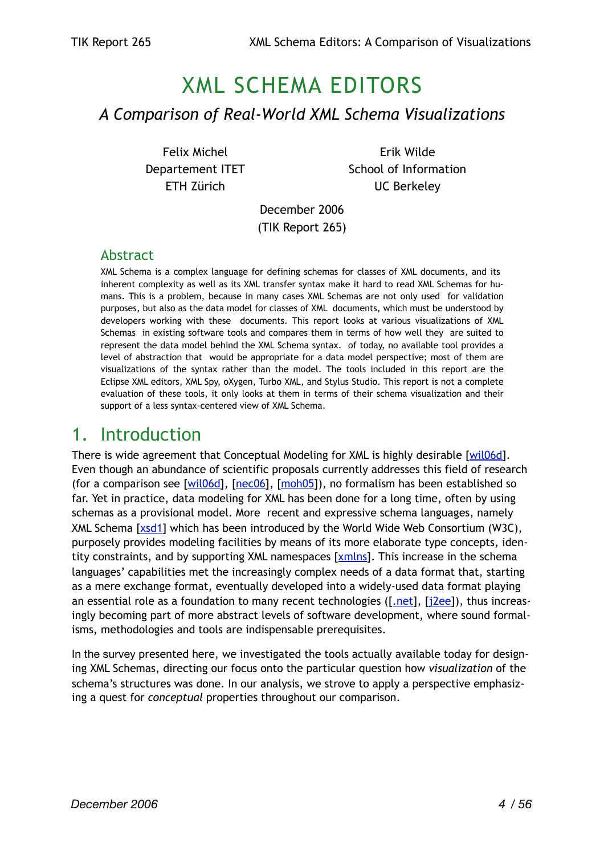# XML SCHEMA EDITORS *A Comparison of Real-World XML Schema Visualizations*

Felix Michel Departement ITET ETH Zürich

Erik Wilde School of Information UC Berkeley

December 2006 (TIK Report 265)

#### Abstract

XML Schema is a complex language for defining schemas for classes of XML documents, and its inherent complexity as well as its XML transfer syntax make it hard to read XML Schemas for humans. This is a problem, because in many cases XML Schemas are not only used for validation purposes, but also as the data model for classes of XML documents, which must be understood by developers working with these documents. This report looks at various visualizations of XML Schemas in existing software tools and compares them in terms of how well they are suited to represent the data model behind the XML Schema syntax. of today, no available tool provides a level of abstraction that would be appropriate for a data model perspective; most of them are visualizations of the syntax rather than the model. The tools included in this report are the Eclipse XML editors, XML Spy, oXygen, Turbo XML, and Stylus Studio. This report is not a complete evaluation of these tools, it only looks at them in terms of their schema visualization and their support of a less syntax-centered view of XML Schema.

## <span id="page-3-0"></span>1. Introduction

There is wide agreement that Conceptual Modeling for XML is highly desirable [[wil06d\]](#page-44-1). Even though an abundance of scientific proposals currently addresses this field of research (for a comparison see  $[\text{wil06d}]$  $[\text{wil06d}]$  $[\text{wil06d}]$ ,  $[\text{me06}]$ ,  $[\text{moh05}]$ ), no formalism has been established so far. Yet in practice, data modeling for XML has been done for a long time, often by using schemas as a provisional model. More recent and expressive schema languages, namely XML Schema [\[xsd1](#page-44-4)] which has been introduced by the World Wide Web Consortium (W3C), purposely provides modeling facilities by means of its more elaborate type concepts, iden-tity constraints, and by supporting XML namespaces [\[xmlns\]](#page-44-5). This increase in the schema languages' capabilities met the increasingly complex needs of a data format that, starting as a mere exchange format, eventually developed into a widely-used data format playing an essential role as a foundation to many recent technologies ( $[\text{net}]$ ,  $[\text{size}]$ ), thus increasingly becoming part of more abstract levels of software development, where sound formalisms, methodologies and tools are indispensable prerequisites.

In the survey presented here, we investigated the tools actually available today for designing XML Schemas, directing our focus onto the particular question how *visualization* of the schema's structures was done. In our analysis, we strove to apply a perspective emphasizing a quest for *conceptual* properties throughout our comparison.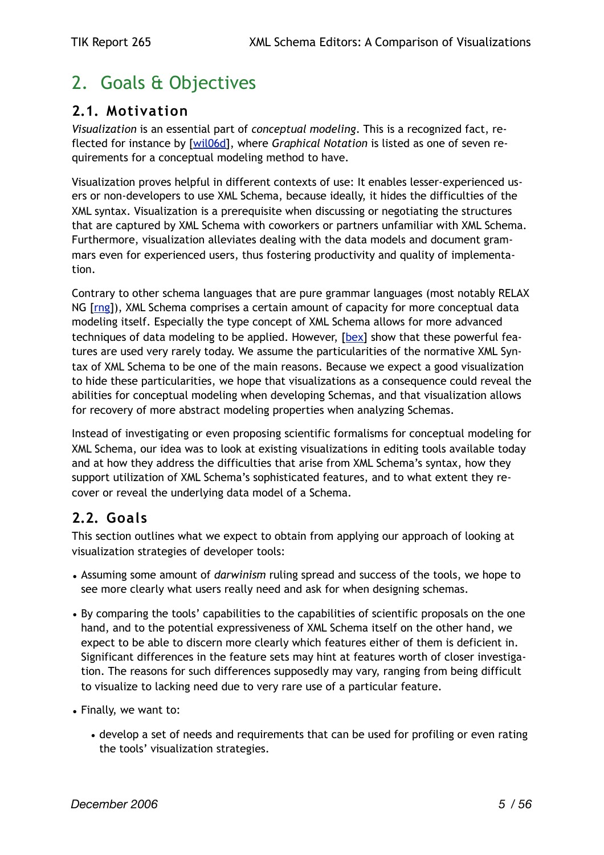## <span id="page-4-0"></span>2. Goals & Objectives

### <span id="page-4-1"></span>**2.1. Motivation**

*Visualization* is an essential part of *conceptual modeling*. This is a recognized fact, reflected for instance by [\[wil06d\]](#page-44-1), where *Graphical Notation* is listed as one of seven requirements for a conceptual modeling method to have.

Visualization proves helpful in different contexts of use: It enables lesser-experienced users or non-developers to use XML Schema, because ideally, it hides the difficulties of the XML syntax. Visualization is a prerequisite when discussing or negotiating the structures that are captured by XML Schema with coworkers or partners unfamiliar with XML Schema. Furthermore, visualization alleviates dealing with the data models and document grammars even for experienced users, thus fostering productivity and quality of implementation.

Contrary to other schema languages that are pure grammar languages (most notably RELAX NG [[rng](#page-44-8)]), XML Schema comprises a certain amount of capacity for more conceptual data modeling itself. Especially the type concept of XML Schema allows for more advanced techniques of data modeling to be applied. However, [\[bex](#page-44-9)] show that these powerful features are used very rarely today. We assume the particularities of the normative XML Syntax of XML Schema to be one of the main reasons. Because we expect a good visualization to hide these particularities, we hope that visualizations as a consequence could reveal the abilities for conceptual modeling when developing Schemas, and that visualization allows for recovery of more abstract modeling properties when analyzing Schemas.

Instead of investigating or even proposing scientific formalisms for conceptual modeling for XML Schema, our idea was to look at existing visualizations in editing tools available today and at how they address the difficulties that arise from XML Schema's syntax, how they support utilization of XML Schema's sophisticated features, and to what extent they recover or reveal the underlying data model of a Schema.

## <span id="page-4-2"></span>**2.2. Goals**

This section outlines what we expect to obtain from applying our approach of looking at visualization strategies of developer tools:

- Assuming some amount of *darwinism* ruling spread and success of the tools, we hope to see more clearly what users really need and ask for when designing schemas.
- By comparing the tools' capabilities to the capabilities of scientific proposals on the one hand, and to the potential expressiveness of XML Schema itself on the other hand, we expect to be able to discern more clearly which features either of them is deficient in. Significant differences in the feature sets may hint at features worth of closer investigation. The reasons for such differences supposedly may vary, ranging from being difficult to visualize to lacking need due to very rare use of a particular feature.
- Finally, we want to:
	- develop a set of needs and requirements that can be used for profiling or even rating the tools' visualization strategies.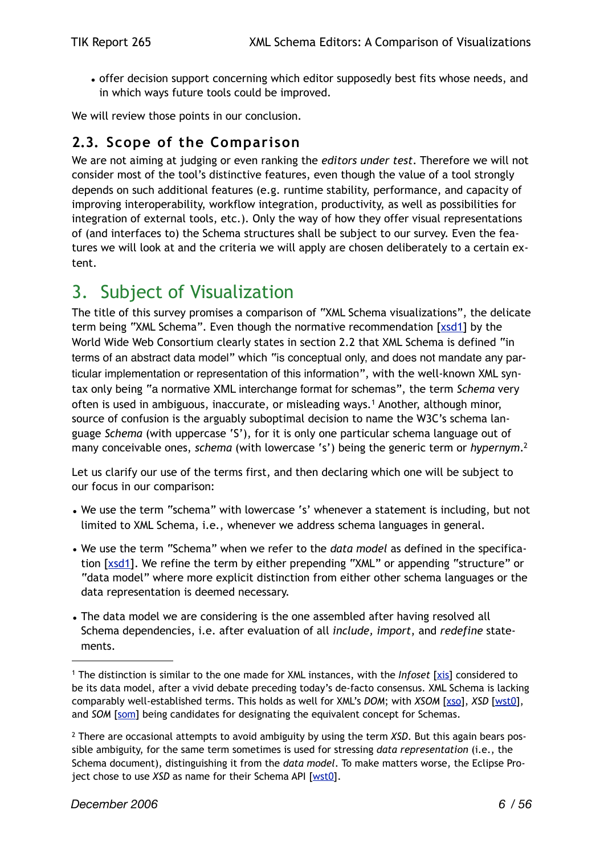• offer decision support concerning which editor supposedly best fits whose needs, and in which ways future tools could be improved.

We will review those points in our conclusion.

### <span id="page-5-0"></span>**2.3. Scope of the Comparison**

We are not aiming at judging or even ranking the *editors under test*. Therefore we will not consider most of the tool's distinctive features, even though the value of a tool strongly depends on such additional features (e.g. runtime stability, performance, and capacity of improving interoperability, workflow integration, productivity, as well as possibilities for integration of external tools, etc.). Only the way of how they offer visual representations of (and interfaces to) the Schema structures shall be subject to our survey. Even the features we will look at and the criteria we will apply are chosen deliberately to a certain extent.

## <span id="page-5-1"></span>3. Subject of Visualization

The title of this survey promises a comparison of "XML Schema visualizations", the delicate term being "XML Schema". Even though the normative recommendation [\[xsd1](#page-44-4)] by the World Wide Web Consortium clearly states in section 2.2 that XML Schema is defined "in terms of an abstract data model" which "is conceptual only, and does not mandate any particular implementation or representation of this information", with the well-known XML syntax only being "a normative XML interchange format for schemas", the term *Schema* very often is used in ambiguous, inaccurate, or misleading ways.[1](#page-5-2) Another, although minor, source of confusion is the arguably suboptimal decision to name the W3C's schema language *Schema* (with uppercase 'S'), for it is only one particular schema language out of many conceivable ones, *schema* (with lowercase 's') being the generic term or *hypernym*[.2](#page-5-3)

Let us clarify our use of the terms first, and then declaring which one will be subject to our focus in our comparison:

- We use the term "schema" with lowercase 's' whenever a statement is including, but not limited to XML Schema, i.e., whenever we address schema languages in general.
- We use the term "Schema" when we refer to the *data model* as defined in the specification [[xsd1](#page-44-4)]. We refine the term by either prepending "XML" or appending "structure" or "data model" where more explicit distinction from either other schema languages or the data representation is deemed necessary.
- The data model we are considering is the one assembled after having resolved all Schema dependencies, i.e. after evaluation of all *include, import*, and *redefine* statements.

<span id="page-5-2"></span><sup>1</sup> The distinction is similar to the one made for XML instances, with the *Infoset* [[xis](#page-44-10)] considered to be its data model, after a vivid debate preceding today's de-facto consensus. XML Schema is lacking comparably well-established terms. This holds as well for XML's *DOM*; with *XSOM* [[xso](#page-44-11)], *XSD* [[wst0\]](#page-44-12), and *SOM* [\[som\]](#page-44-13) being candidates for designating the equivalent concept for Schemas.

<span id="page-5-3"></span><sup>2</sup> There are occasional attempts to avoid ambiguity by using the term *XSD*. But this again bears possible ambiguity, for the same term sometimes is used for stressing *data representation* (i.e., the Schema document), distinguishing it from the *data model*. To make matters worse, the Eclipse Project chose to use *XSD* as name for their Schema API [\[wst0\]](#page-44-12).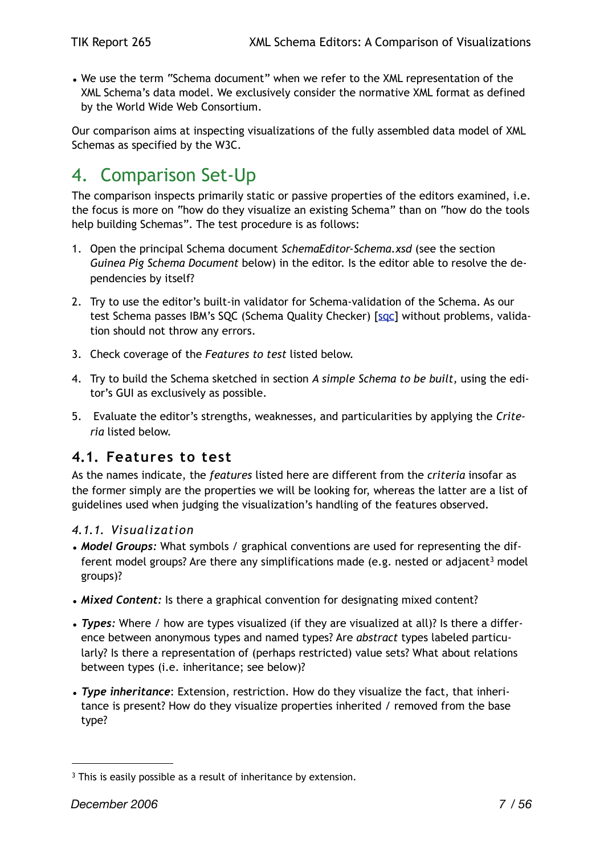• We use the term "Schema document" when we refer to the XML representation of the XML Schema's data model. We exclusively consider the normative XML format as defined by the World Wide Web Consortium.

Our comparison aims at inspecting visualizations of the fully assembled data model of XML Schemas as specified by the W3C.

## <span id="page-6-0"></span>4. Comparison Set-Up

The comparison inspects primarily static or passive properties of the editors examined, i.e. the focus is more on "how do they visualize an existing Schema" than on "how do the tools help building Schemas". The test procedure is as follows:

- 1. Open the principal Schema document *SchemaEditor-Schema.xsd* (see the section *Guinea Pig Schema Document* below) in the editor. Is the editor able to resolve the dependencies by itself?
- 2. Try to use the editor's built-in validator for Schema-validation of the Schema. As our test Schema passes IBM's SQC (Schema Quality Checker) [[sqc\]](#page-44-14) without problems, validation should not throw any errors.
- 3. Check coverage of the *Features to test* listed below.
- 4. Try to build the Schema sketched in section *A simple Schema to be built,* using the editor's GUI as exclusively as possible.
- 5. Evaluate the editor's strengths, weaknesses, and particularities by applying the *Criteria* listed below.

### <span id="page-6-1"></span>**4.1. Features to test**

As the names indicate, the *features* listed here are different from the *criteria* insofar as the former simply are the properties we will be looking for, whereas the latter are a list of guidelines used when judging the visualization's handling of the features observed.

#### <span id="page-6-2"></span>*4.1.1. Visualization*

- *Model Groups:* What symbols / graphical conventions are used for representing the dif-ferent model groups? Are there any simplifications made (e.g. nested or adjacent<sup>[3](#page-6-3)</sup> model groups)?
- *Mixed Content:* Is there a graphical convention for designating mixed content?
- *Types:* Where / how are types visualized (if they are visualized at all)? Is there a difference between anonymous types and named types? Are *abstract* types labeled particularly? Is there a representation of (perhaps restricted) value sets? What about relations between types (i.e. inheritance; see below)?
- *Type inheritance*: Extension, restriction. How do they visualize the fact, that inheritance is present? How do they visualize properties inherited / removed from the base type?

<span id="page-6-3"></span><sup>&</sup>lt;sup>3</sup> This is easily possible as a result of inheritance by extension.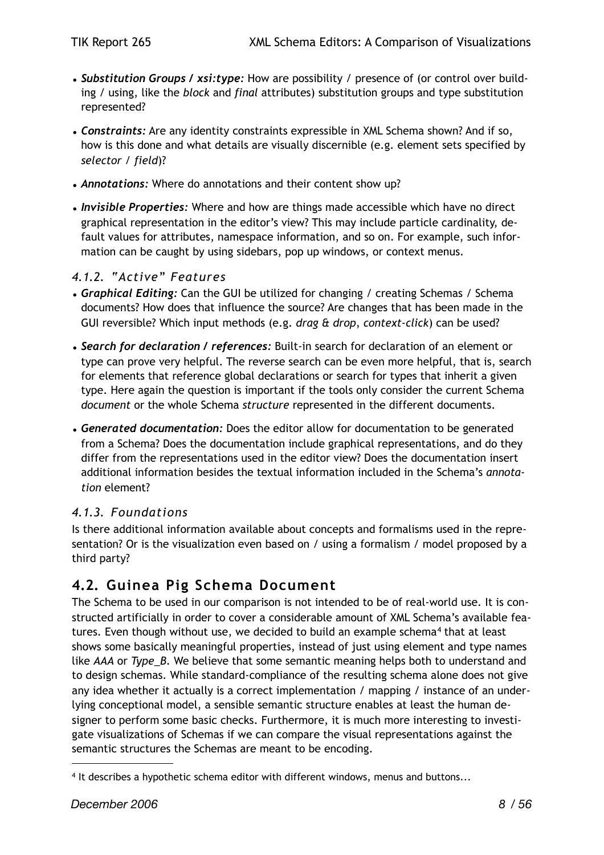- *• Substitution Groups / xsi:type:* How are possibility / presence of (or control over building / using, like the *block* and *final* attributes) substitution groups and type substitution represented?
- *Constraints:* Are any identity constraints expressible in XML Schema shown? And if so, how is this done and what details are visually discernible (e.g. element sets specified by *selector* / *field*)?
- *Annotations:* Where do annotations and their content show up?
- *• Invisible Properties:* Where and how are things made accessible which have no direct graphical representation in the editor's view? This may include particle cardinality, default values for attributes, namespace information, and so on. For example, such information can be caught by using sidebars, pop up windows, or context menus.

#### <span id="page-7-0"></span>*4.1.2. "Active" Features*

- *Graphical Editing:* Can the GUI be utilized for changing / creating Schemas / Schema documents? How does that influence the source? Are changes that has been made in the GUI reversible? Which input methods (e.g. *drag & drop*, *context-click*) can be used?
- *Search for declaration / references:* Built-in search for declaration of an element or type can prove very helpful. The reverse search can be even more helpful, that is, search for elements that reference global declarations or search for types that inherit a given type. Here again the question is important if the tools only consider the current Schema *document* or the whole Schema *structure* represented in the different documents.
- *• Generated documentation:* Does the editor allow for documentation to be generated from a Schema? Does the documentation include graphical representations, and do they differ from the representations used in the editor view? Does the documentation insert additional information besides the textual information included in the Schema's *annotation* element?

#### <span id="page-7-1"></span>*4.1.3. Foundations*

Is there additional information available about concepts and formalisms used in the representation? Or is the visualization even based on / using a formalism / model proposed by a third party?

## <span id="page-7-2"></span>**4.2. Guinea Pig Schema Document**

The Schema to be used in our comparison is not intended to be of real-world use. It is constructed artificially in order to cover a considerable amount of XML Schema's available fea-tures. Even though without use, we decided to build an example schema<sup>[4](#page-7-3)</sup> that at least shows some basically meaningful properties, instead of just using element and type names like *AAA* or *Type\_B*. We believe that some semantic meaning helps both to understand and to design schemas. While standard-compliance of the resulting schema alone does not give any idea whether it actually is a correct implementation / mapping / instance of an underlying conceptional model, a sensible semantic structure enables at least the human designer to perform some basic checks. Furthermore, it is much more interesting to investigate visualizations of Schemas if we can compare the visual representations against the semantic structures the Schemas are meant to be encoding.

<span id="page-7-3"></span><sup>4</sup> It describes a hypothetic schema editor with different windows, menus and buttons...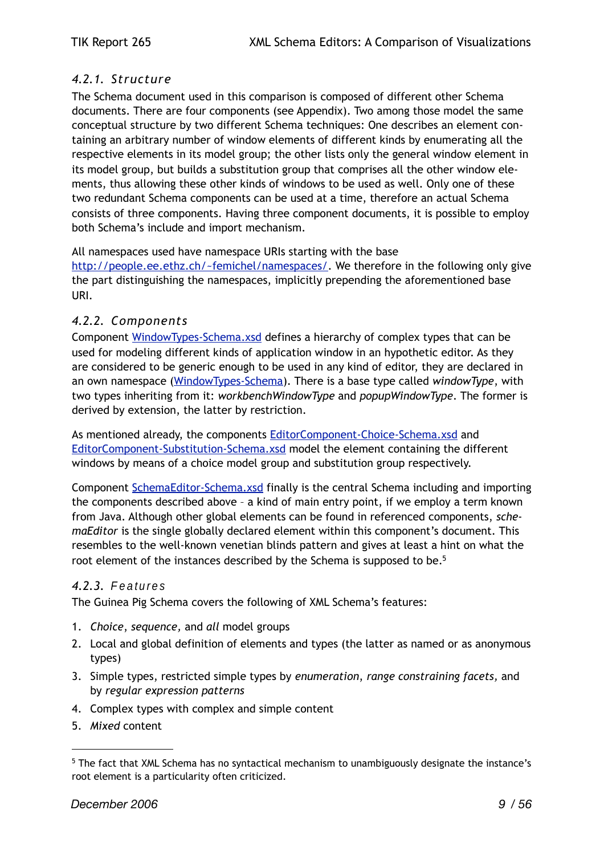#### <span id="page-8-0"></span>*4.2.1. Structure*

The Schema document used in this comparison is composed of different other Schema documents. There are four components (see Appendix). Two among those model the same conceptual structure by two different Schema techniques: One describes an element containing an arbitrary number of window elements of different kinds by enumerating all the respective elements in its model group; the other lists only the general window element in its model group, but builds a substitution group that comprises all the other window elements, thus allowing these other kinds of windows to be used as well. Only one of these two redundant Schema components can be used at a time, therefore an actual Schema consists of three components. Having three component documents, it is possible to employ both Schema's include and import mechanism.

All namespaces used have namespace URIs starting with the base

<http://people.ee.ethz.ch/~femichel/namespaces/>. We therefore in the following only give the part distinguishing the namespaces, implicitly prepending the aforementioned base URI.

#### <span id="page-8-1"></span>*4.2.2. Components*

Component [WindowTypes-Schema.xsd](#page-45-1) defines a hierarchy of complex types that can be used for modeling different kinds of application window in an hypothetic editor. As they are considered to be generic enough to be used in any kind of editor, they are declared in an own namespace [\(WindowTypes-Schema\)](http://people.ee.ethz.ch/~femichel/namespaces/WindowTypes-Schema). There is a base type called *windowType*, with two types inheriting from it: *workbenchWindowType* and *popupWindowType*. The former is derived by extension, the latter by restriction.

As mentioned already, the components **EditorComponent-Choice-Schema.xsd** and [EditorComponent-Substitution-Schema.xsd](#page-50-0) model the element containing the different windows by means of a choice model group and substitution group respectively.

Component [SchemaEditor-Schema.xsd](#page-52-0) finally is the central Schema including and importing the components described above – a kind of main entry point, if we employ a term known from Java. Although other global elements can be found in referenced components, *schemaEditor* is the single globally declared element within this component's document. This resembles to the well-known venetian blinds pattern and gives at least a hint on what the root element of the instances described by the Schema is supposed to be.<sup>5</sup>

#### <span id="page-8-2"></span>*4.2.3.* Features

The Guinea Pig Schema covers the following of XML Schema's features:

- 1. *Choice*, *sequence,* and *all* model groups
- 2. Local and global definition of elements and types (the latter as named or as anonymous types)
- 3. Simple types, restricted simple types by *enumeration*, *range constraining facets,* and by *regular expression patterns*
- 4. Complex types with complex and simple content
- 5. *Mixed* content

<span id="page-8-3"></span><sup>5</sup> The fact that XML Schema has no syntactical mechanism to unambiguously designate the instance's root element is a particularity often criticized.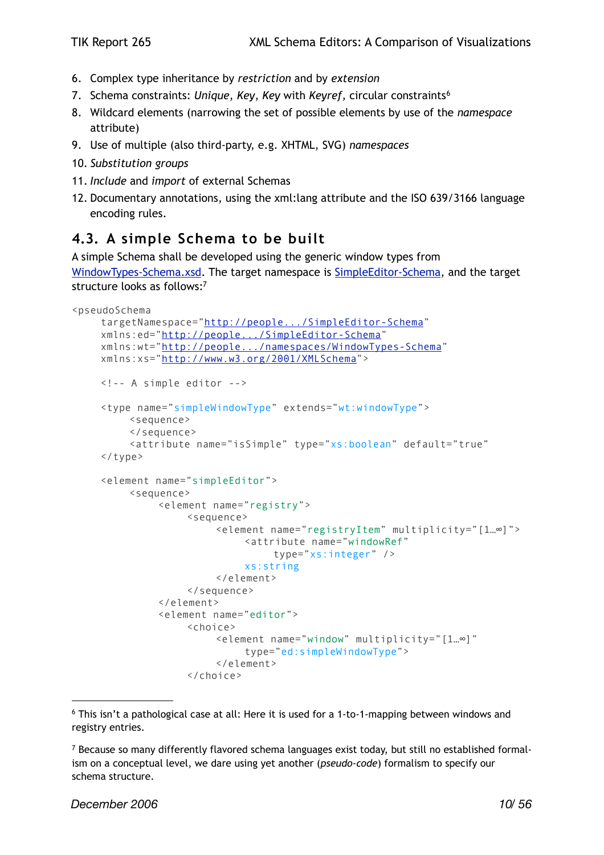- 6. Complex type inheritance by *restriction* and by *extension*
- 7. Schema constraints: *Unique*, *Key*, *Key* with *Keyref,* circular constraints[6](#page-9-1)
- 8. Wildcard elements (narrowing the set of possible elements by use of the *namespace* attribute)
- 9. Use of multiple (also third-party, e.g. XHTML, SVG) *namespaces*
- 10. *Substitution groups*
- 11. *Include* and *import* of external Schemas
- 12. Documentary annotations, using the xml:lang attribute and the ISO 639/3166 language encoding rules.

## <span id="page-9-0"></span>**4.3. A simple Schema to be built**

A simple Schema shall be developed using the generic window types from [WindowTypes-Schema.xsd](#page-45-1). The target namespace is [SimpleEditor-Schema](http://people.ee.ethz.ch/~femichel/namespaces/WindowTypes-Schema.xsd), and the target structure looks as follows[:7](#page-9-2)

```
<pseudoSchema
    targetNamespace="http://people.../SimpleEditor-Schema"
    xmlns:ed="http://people.../SimpleEditor-Schema"
    xmlns:wt="http://people.../namespaces/WindowTypes-Schema"
    xmlns:xs="http://www.w3.org/2001/XMLSchema">
    <!-- A simple editor -->
    <type name="simpleWindowType" extends="wt:windowType">
         <sequence>
         </sequence>
         <attribute name="isSimple" type="xs:boolean" default="true"
    </type>
    <element name="simpleEditor">
         <sequence>
              <element name="registry">
                   <sequence>
                        <element name="registryItem" multiplicity="[1…∞]">
                             <attribute name="windowRef" 
                                 type="xs:integer" />
                            xs:string
                        </element>
                   </sequence>
              </element>
              <element name="editor">
                   <choice>
                        <element name="window" multiplicity="[1…∞]"
                            type="ed:simpleWindowType">
                        </element>
                   </choice>
```
<span id="page-9-1"></span><sup>6</sup> This isn't a pathological case at all: Here it is used for a 1-to-1-mapping between windows and registry entries.

<span id="page-9-2"></span><sup>7</sup> Because so many differently flavored schema languages exist today, but still no established formalism on a conceptual level, we dare using yet another (*pseudo-code*) formalism to specify our schema structure.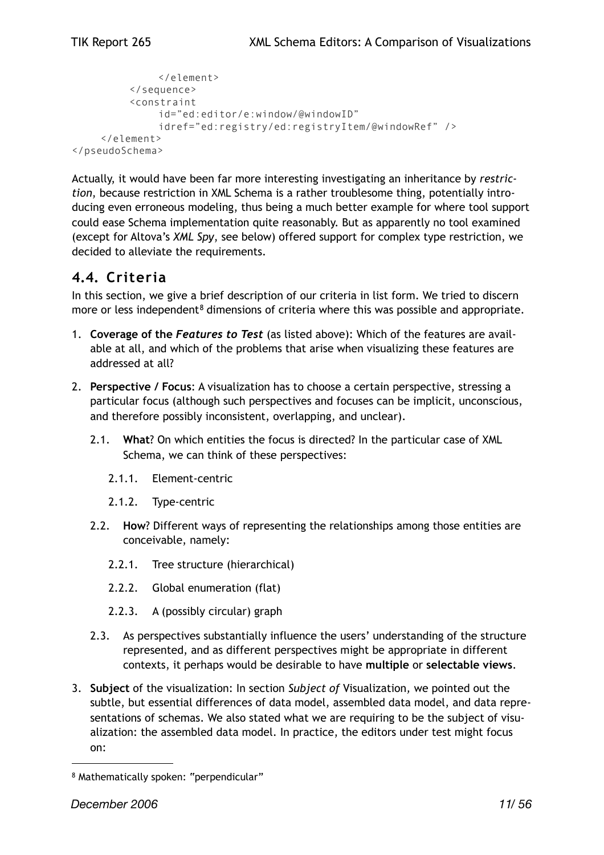```
</element>
         </sequence>
         <constraint 
              id="ed:editor/e:window/@windowID"
              idref="ed:registry/ed:registryItem/@windowRef" />
    </element>
</pseudoSchema>
```
Actually, it would have been far more interesting investigating an inheritance by *restriction*, because restriction in XML Schema is a rather troublesome thing, potentially introducing even erroneous modeling, thus being a much better example for where tool support could ease Schema implementation quite reasonably. But as apparently no tool examined (except for Altova's *XML Spy*, see below) offered support for complex type restriction, we decided to alleviate the requirements.

### <span id="page-10-0"></span>**4.4. Criteria**

In this section, we give a brief description of our criteria in list form. We tried to discern more or less independent<sup>[8](#page-10-1)</sup> dimensions of criteria where this was possible and appropriate.

- 1. **Coverage of the** *Features to Test* (as listed above): Which of the features are available at all, and which of the problems that arise when visualizing these features are addressed at all?
- 2. **Perspective / Focus**: A visualization has to choose a certain perspective, stressing a particular focus (although such perspectives and focuses can be implicit, unconscious, and therefore possibly inconsistent, overlapping, and unclear).
	- 2.1. **What**? On which entities the focus is directed? In the particular case of XML Schema, we can think of these perspectives:
		- 2.1.1. Element-centric
		- 2.1.2. Type-centric
	- 2.2. **How**? Different ways of representing the relationships among those entities are conceivable, namely:
		- 2.2.1. Tree structure (hierarchical)
		- 2.2.2. Global enumeration (flat)
		- 2.2.3. A (possibly circular) graph
	- 2.3. As perspectives substantially influence the users' understanding of the structure represented, and as different perspectives might be appropriate in different contexts, it perhaps would be desirable to have **multiple** or **selectable views**.
- 3. **Subject** of the visualization: In section *Subject of* Visualization*,* we pointed out the subtle, but essential differences of data model, assembled data model, and data representations of schemas. We also stated what we are requiring to be the subject of visualization: the assembled data model. In practice, the editors under test might focus on:

<span id="page-10-1"></span><sup>8</sup> Mathematically spoken: "perpendicular"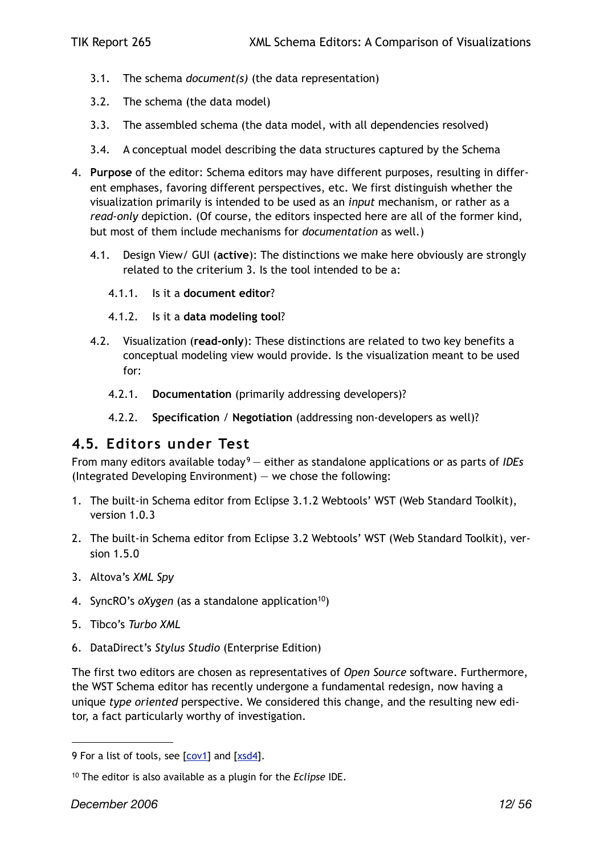- 3.1. The schema *document(s)* (the data representation)
- 3.2. The schema (the data model)
- 3.3. The assembled schema (the data model, with all dependencies resolved)
- 3.4. A conceptual model describing the data structures captured by the Schema
- 4. **Purpose** of the editor: Schema editors may have different purposes, resulting in different emphases, favoring different perspectives, etc. We first distinguish whether the visualization primarily is intended to be used as an *input* mechanism, or rather as a *read-only* depiction. (Of course, the editors inspected here are all of the former kind, but most of them include mechanisms for *documentation* as well.)
	- 4.1. Design View/ GUI (**active**): The distinctions we make here obviously are strongly related to the criterium 3. Is the tool intended to be a:
		- 4.1.1. Is it a **document editor**?
		- 4.1.2. Is it a **data modeling tool**?
	- 4.2. Visualization (**read-only**): These distinctions are related to two key benefits a conceptual modeling view would provide. Is the visualization meant to be used for:
		- 4.2.1. **Documentation** (primarily addressing developers)?
		- 4.2.2. **Specification** / **Negotiation** (addressing non-developers as well)?

#### <span id="page-11-0"></span>**4.5. Editors under Test**

From many editors available today<sup>[9](#page-11-1)</sup> — either as standalone applications or as parts of *IDEs* (Integrated Developing Environment)  $-$  we chose the following:

- 1. The built-in Schema editor from Eclipse 3.1.2 Webtools' WST (Web Standard Toolkit), version 1.0.3
- 2. The built-in Schema editor from Eclipse 3.2 Webtools' WST (Web Standard Toolkit), version 1.5.0
- 3. Altova's *XML Spy*
- 4. SyncRO's *oXygen* (as a standalone application<sup>10</sup>)
- 5. Tibco's *Turbo XML*
- 6. DataDirect's *Stylus Studio* (Enterprise Edition)

The first two editors are chosen as representatives of *Open Source* software. Furthermore, the WST Schema editor has recently undergone a fundamental redesign, now having a unique *type oriented* perspective. We considered this change, and the resulting new editor, a fact particularly worthy of investigation.

<span id="page-11-1"></span><sup>9</sup> For a list of tools, see [[cov1](#page-44-15)] and [[xsd4\]](#page-44-16).

<span id="page-11-2"></span><sup>10</sup> The editor is also available as a plugin for the *Eclipse* IDE.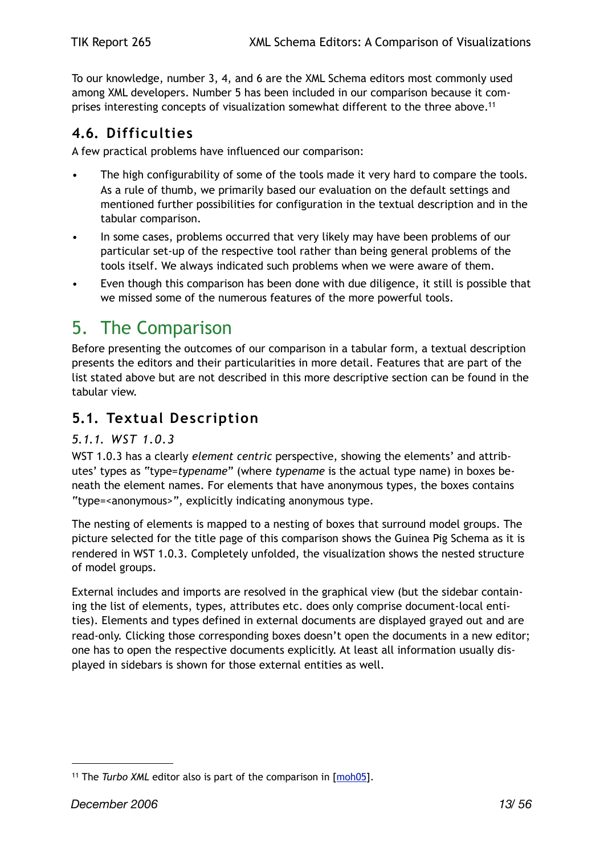To our knowledge, number 3, 4, and 6 are the XML Schema editors most commonly used among XML developers. Number 5 has been included in our comparison because it comprises interesting concepts of visualization somewhat different to the three above.<sup>11</sup>

## <span id="page-12-0"></span>**4.6. Difficulties**

A few practical problems have influenced our comparison:

- The high configurability of some of the tools made it very hard to compare the tools. As a rule of thumb, we primarily based our evaluation on the default settings and mentioned further possibilities for configuration in the textual description and in the tabular comparison.
- In some cases, problems occurred that very likely may have been problems of our particular set-up of the respective tool rather than being general problems of the tools itself. We always indicated such problems when we were aware of them.
- Even though this comparison has been done with due diligence, it still is possible that we missed some of the numerous features of the more powerful tools.

## <span id="page-12-1"></span>5. The Comparison

Before presenting the outcomes of our comparison in a tabular form, a textual description presents the editors and their particularities in more detail. Features that are part of the list stated above but are not described in this more descriptive section can be found in the tabular view.

## <span id="page-12-2"></span>**5.1. Textual Description**

#### <span id="page-12-3"></span>*5.1.1. WST 1.0.3*

WST 1.0.3 has a clearly *element centric* perspective, showing the elements' and attributes' types as "type=*typename*" (where *typename* is the actual type name) in boxes beneath the element names. For elements that have anonymous types, the boxes contains "type=<anonymous>", explicitly indicating anonymous type.

The nesting of elements is mapped to a nesting of boxes that surround model groups. The picture selected for the title page of this comparison shows the Guinea Pig Schema as it is rendered in WST 1.0.3. Completely unfolded, the visualization shows the nested structure of model groups.

External includes and imports are resolved in the graphical view (but the sidebar containing the list of elements, types, attributes etc. does only comprise document-local entities). Elements and types defined in external documents are displayed grayed out and are read-only. Clicking those corresponding boxes doesn't open the documents in a new editor; one has to open the respective documents explicitly. At least all information usually displayed in sidebars is shown for those external entities as well.

<span id="page-12-4"></span><sup>&</sup>lt;sup>11</sup> The *Turbo XML* editor also is part of the comparison in [\[moh05](#page-44-3)].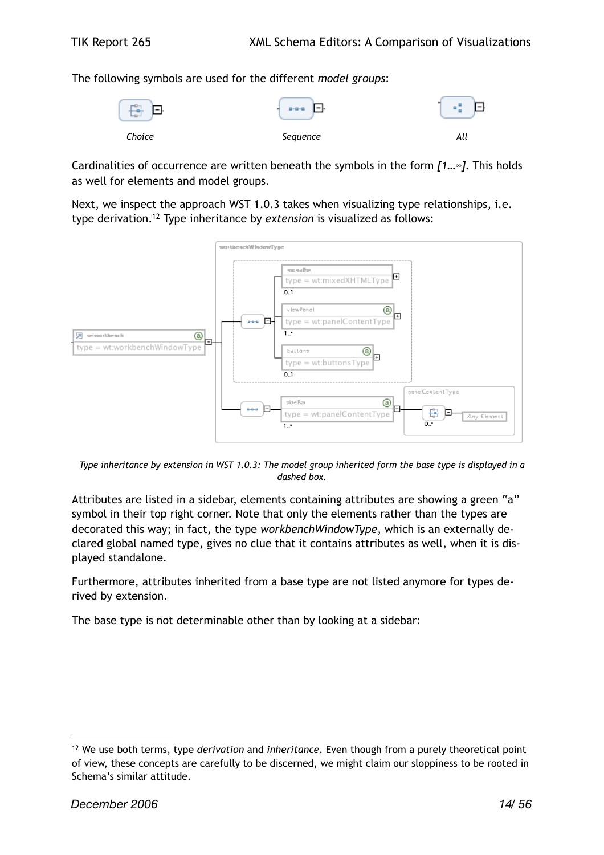The following symbols are used for the different *model groups*:



Cardinalities of occurrence are written beneath the symbols in the form *[1…∞]*. This holds as well for elements and model groups.

Next, we inspect the approach WST 1.0.3 takes when visualizing type relationships, i.e. type derivation[.12](#page-13-0) Type inheritance by *extension* is visualized as follows:



*Type inheritance by extension in WST 1.0.3: The model group inherited form the base type is displayed in a dashed box.*

Attributes are listed in a sidebar, elements containing attributes are showing a green "a" symbol in their top right corner. Note that only the elements rather than the types are decorated this way; in fact, the type *workbenchWindowType*, which is an externally declared global named type, gives no clue that it contains attributes as well, when it is displayed standalone.

Furthermore, attributes inherited from a base type are not listed anymore for types derived by extension.

The base type is not determinable other than by looking at a sidebar:

<span id="page-13-0"></span><sup>12</sup> We use both terms, type *derivation* and *inheritance*. Even though from a purely theoretical point of view, these concepts are carefully to be discerned, we might claim our sloppiness to be rooted in Schema's similar attitude.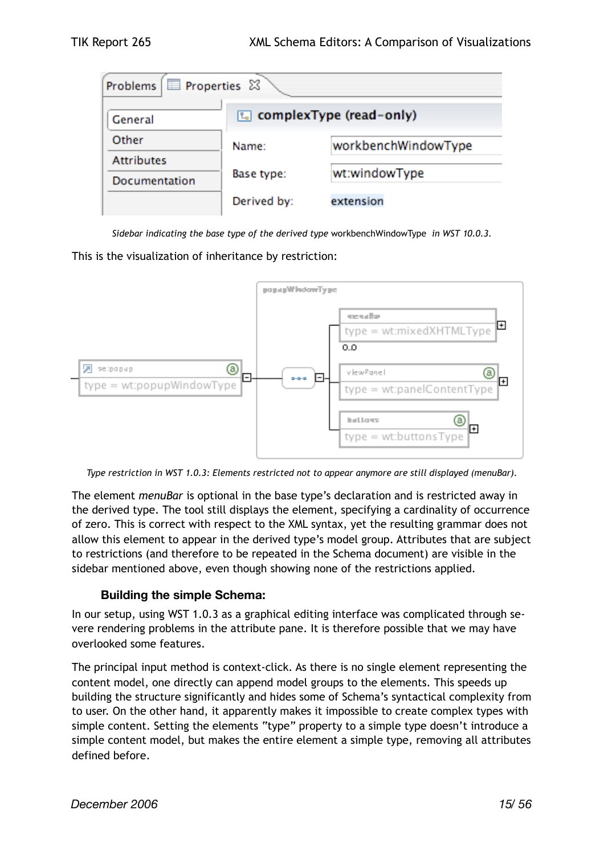| Problems   Properties & |                                   |                     |  |  |
|-------------------------|-----------------------------------|---------------------|--|--|
| General                 | <b>L</b> complex Type (read-only) |                     |  |  |
| Other                   | Name:                             | workbenchWindowType |  |  |
| <b>Attributes</b>       |                                   |                     |  |  |
| Documentation           | Base type:                        | wt:windowType       |  |  |
|                         | Derived by:                       | extension           |  |  |

*Sidebar indicating the base type of the derived type* workbenchWindowType *in WST 10.0.3.*

This is the visualization of inheritance by restriction:



*Type restriction in WST 1.0.3: Elements restricted not to appear anymore are still displayed (menuBar).*

The element *menuBar* is optional in the base type's declaration and is restricted away in the derived type. The tool still displays the element, specifying a cardinality of occurrence of zero. This is correct with respect to the XML syntax, yet the resulting grammar does not allow this element to appear in the derived type's model group. Attributes that are subject to restrictions (and therefore to be repeated in the Schema document) are visible in the sidebar mentioned above, even though showing none of the restrictions applied.

#### **Building the simple Schema:**

In our setup, using WST 1.0.3 as a graphical editing interface was complicated through severe rendering problems in the attribute pane. It is therefore possible that we may have overlooked some features.

The principal input method is context-click. As there is no single element representing the content model, one directly can append model groups to the elements. This speeds up building the structure significantly and hides some of Schema's syntactical complexity from to user. On the other hand, it apparently makes it impossible to create complex types with simple content. Setting the elements "type" property to a simple type doesn't introduce a simple content model, but makes the entire element a simple type, removing all attributes defined before.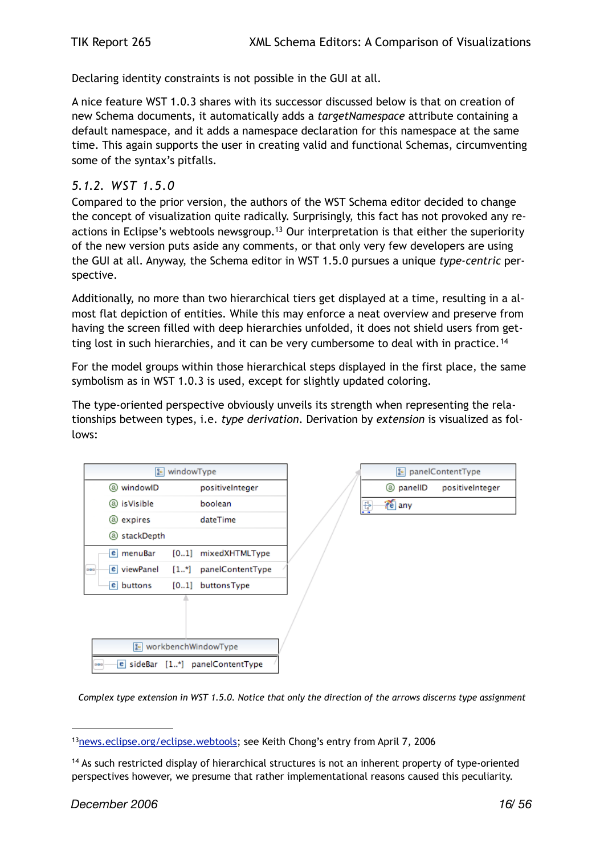Declaring identity constraints is not possible in the GUI at all.

A nice feature WST 1.0.3 shares with its successor discussed below is that on creation of new Schema documents, it automatically adds a *targetNamespace* attribute containing a default namespace, and it adds a namespace declaration for this namespace at the same time. This again supports the user in creating valid and functional Schemas, circumventing some of the syntax's pitfalls.

#### <span id="page-15-0"></span>*5.1.2. WST 1.5.0*

Compared to the prior version, the authors of the WST Schema editor decided to change the concept of visualization quite radically. Surprisingly, this fact has not provoked any reactions in Eclipse's webtools newsgroup.<sup>13</sup> Our interpretation is that either the superiority of the new version puts aside any comments, or that only very few developers are using the GUI at all. Anyway, the Schema editor in WST 1.5.0 pursues a unique *type-centric* perspective.

Additionally, no more than two hierarchical tiers get displayed at a time, resulting in a almost flat depiction of entities. While this may enforce a neat overview and preserve from having the screen filled with deep hierarchies unfolded, it does not shield users from get-ting lost in such hierarchies, and it can be very cumbersome to deal with in practice.<sup>[14](#page-15-2)</sup>

For the model groups within those hierarchical steps displayed in the first place, the same symbolism as in WST 1.0.3 is used, except for slightly updated coloring.

The type-oriented perspective obviously unveils its strength when representing the relationships between types, i.e. *type derivation*. Derivation by *extension* is visualized as follows:



*Complex type extension in WST 1.5.0. Notice that only the direction of the arrows discerns type assignment* 

<span id="page-15-1"></span><sup>13&</sup>lt;sub>news.eclipse.org/eclipse.webtools</sub>; see Keith Chong's entry from April 7, 2006

<span id="page-15-2"></span><sup>14</sup> As such restricted display of hierarchical structures is not an inherent property of type-oriented perspectives however, we presume that rather implementational reasons caused this peculiarity.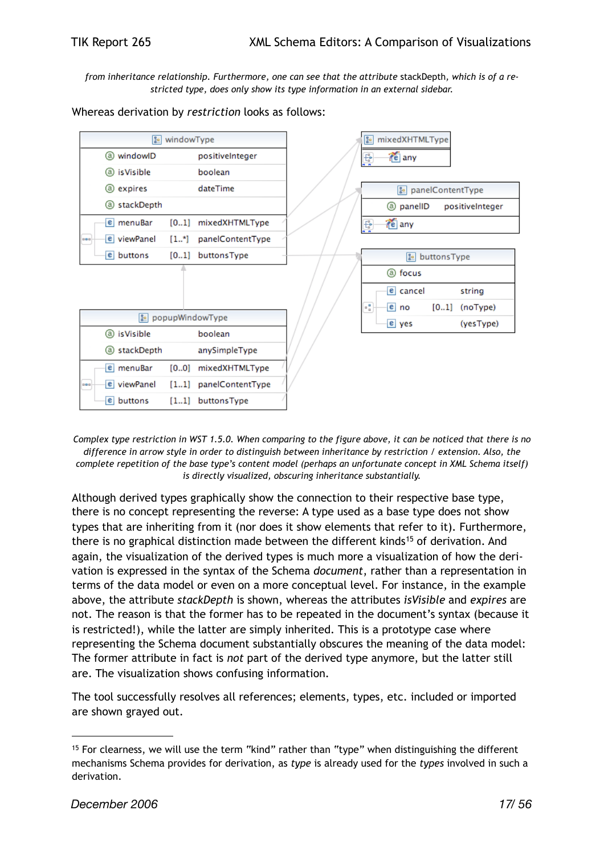*from inheritance relationship. Furthermore, one can see that the attribute* stackDepth*, which is of a restricted type, does only show its type information in an external sidebar.*

Whereas derivation by *restriction* looks as follows:



*Complex type restriction in WST 1.5.0. When comparing to the figure above, it can be noticed that there is no difference in arrow style in order to distinguish between inheritance by restriction / extension. Also, the complete repetition of the base type's content model (perhaps an unfortunate concept in XML Schema itself) is directly visualized, obscuring inheritance substantially.*

Although derived types graphically show the connection to their respective base type, there is no concept representing the reverse: A type used as a base type does not show types that are inheriting from it (nor does it show elements that refer to it). Furthermore, there is no graphical distinction made between the different kinds<sup>[15](#page-16-0)</sup> of derivation. And again, the visualization of the derived types is much more a visualization of how the derivation is expressed in the syntax of the Schema *document*, rather than a representation in terms of the data model or even on a more conceptual level. For instance, in the example above, the attribute *stackDepth* is shown, whereas the attributes *isVisible* and *expires* are not. The reason is that the former has to be repeated in the document's syntax (because it is restricted!), while the latter are simply inherited. This is a prototype case where representing the Schema document substantially obscures the meaning of the data model: The former attribute in fact is *not* part of the derived type anymore, but the latter still are. The visualization shows confusing information.

The tool successfully resolves all references; elements, types, etc. included or imported are shown grayed out.

<span id="page-16-0"></span><sup>15</sup> For clearness, we will use the term "kind" rather than "type" when distinguishing the different mechanisms Schema provides for derivation, as *type* is already used for the *types* involved in such a derivation.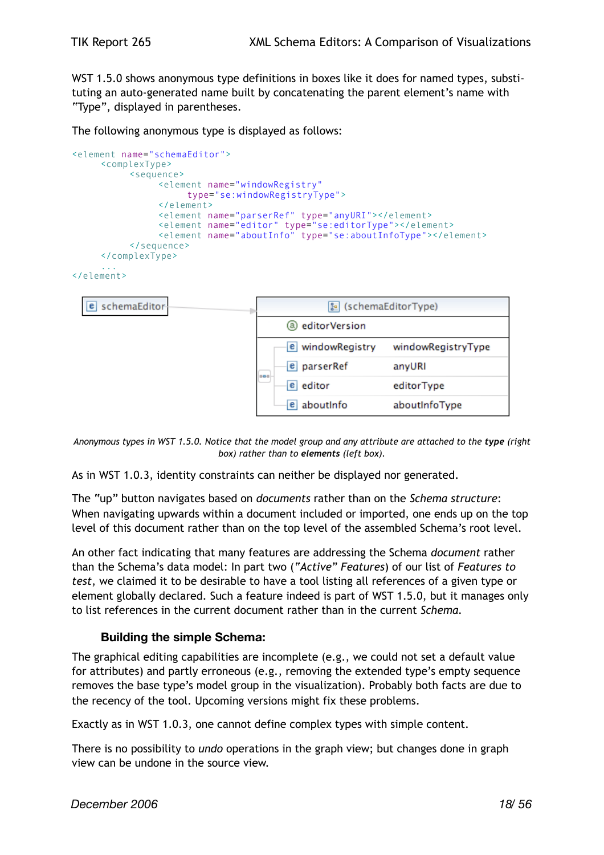WST 1.5.0 shows anonymous type definitions in boxes like it does for named types, substituting an auto-generated name built by concatenating the parent element's name with "Type", displayed in parentheses.

The following anonymous type is displayed as follows:

```
<element name="schemaEditor">
     <complexType>
          <sequence>
                <element name="windowRegistry"
                     type="se:windowRegistryType">
                </element>
                <element name="parserRef" type="anyURI"></element>
                <element name="editor" type="se:editorType"></element>
                <element name="aboutInfo" type="se:aboutInfoType"></element>
          </sequence>
     </complexType>
     ...
```

```
</element>
```


*Anonymous types in WST 1.5.0. Notice that the model group and any attribute are attached to the type (right box) rather than to elements (left box).*

As in WST 1.0.3, identity constraints can neither be displayed nor generated.

The "up" button navigates based on *documents* rather than on the *Schema structure*: When navigating upwards within a document included or imported, one ends up on the top level of this document rather than on the top level of the assembled Schema's root level.

An other fact indicating that many features are addressing the Schema *document* rather than the Schema's data model: In part two (*"Active" Features*) of our list of *Features to test*, we claimed it to be desirable to have a tool listing all references of a given type or element globally declared. Such a feature indeed is part of WST 1.5.0, but it manages only to list references in the current document rather than in the current *Schema.*

#### **Building the simple Schema:**

The graphical editing capabilities are incomplete (e.g., we could not set a default value for attributes) and partly erroneous (e.g., removing the extended type's empty sequence removes the base type's model group in the visualization). Probably both facts are due to the recency of the tool. Upcoming versions might fix these problems.

Exactly as in WST 1.0.3, one cannot define complex types with simple content.

There is no possibility to *undo* operations in the graph view; but changes done in graph view can be undone in the source view.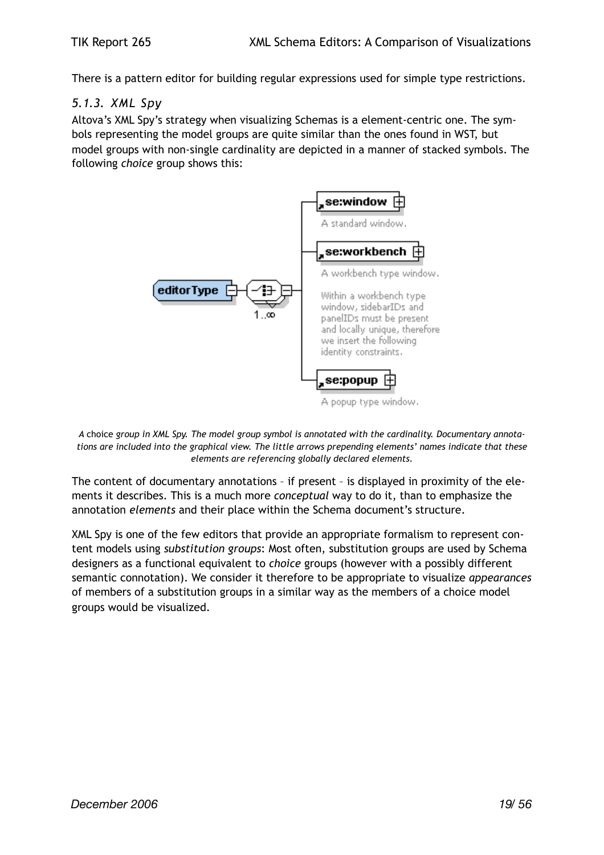There is a pattern editor for building regular expressions used for simple type restrictions.

#### <span id="page-18-0"></span>*5.1.3. XML Spy*

Altova's XML Spy's strategy when visualizing Schemas is a element-centric one. The symbols representing the model groups are quite similar than the ones found in WST, but model groups with non-single cardinality are depicted in a manner of stacked symbols. The following *choice* group shows this:



*A* choice *group in XML Spy. The model group symbol is annotated with the cardinality. Documentary annotations are included into the graphical view. The little arrows prepending elements' names indicate that these elements are referencing globally declared elements.*

The content of documentary annotations – if present – is displayed in proximity of the elements it describes. This is a much more *conceptual* way to do it, than to emphasize the annotation *elements* and their place within the Schema document's structure.

XML Spy is one of the few editors that provide an appropriate formalism to represent content models using *substitution groups*: Most often, substitution groups are used by Schema designers as a functional equivalent to *choice* groups (however with a possibly different semantic connotation). We consider it therefore to be appropriate to visualize *appearances* of members of a substitution groups in a similar way as the members of a choice model groups would be visualized.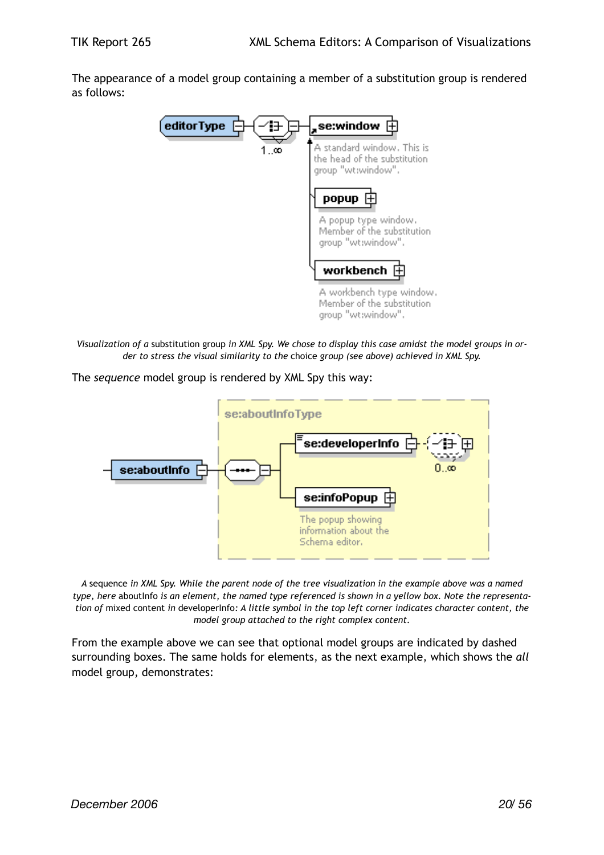The appearance of a model group containing a member of a substitution group is rendered as follows:



*Visualization of a* substitution group *in XML Spy. We chose to display this case amidst the model groups in order to stress the visual similarity to the* choice *group (see above) achieved in XML Spy.*

The *sequence* model group is rendered by XML Spy this way:



*A* sequence *in XML Spy. While the parent node of the tree visualization in the example above was a named type, here* aboutInfo *is an element, the named type referenced is shown in a yellow box. Note the representation of* mixed content *in* developerInfo*: A little symbol in the top left corner indicates character content, the model group attached to the right complex content.*

From the example above we can see that optional model groups are indicated by dashed surrounding boxes. The same holds for elements, as the next example, which shows the *all* model group, demonstrates: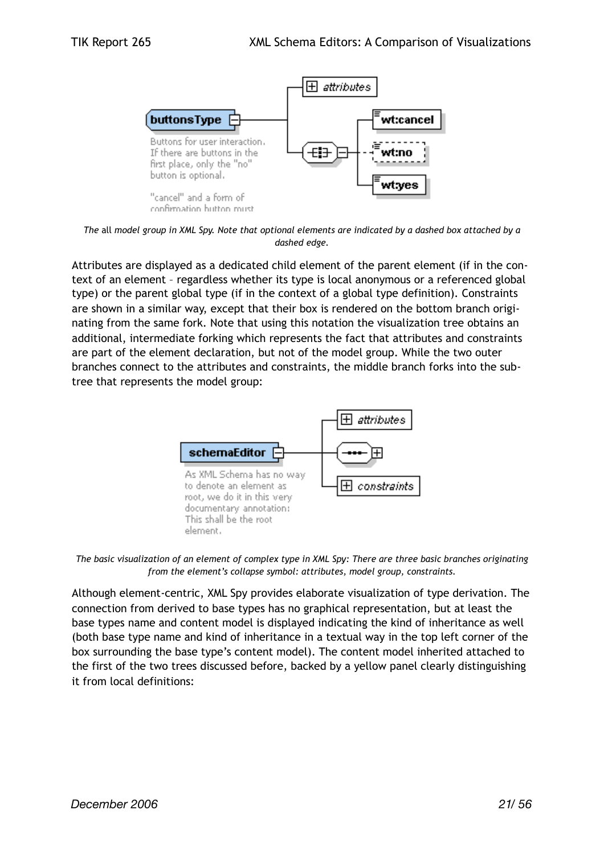

*The* all *model group in XML Spy. Note that optional elements are indicated by a dashed box attached by a dashed edge.*

Attributes are displayed as a dedicated child element of the parent element (if in the context of an element – regardless whether its type is local anonymous or a referenced global type) or the parent global type (if in the context of a global type definition). Constraints are shown in a similar way, except that their box is rendered on the bottom branch originating from the same fork. Note that using this notation the visualization tree obtains an additional, intermediate forking which represents the fact that attributes and constraints are part of the element declaration, but not of the model group. While the two outer branches connect to the attributes and constraints, the middle branch forks into the subtree that represents the model group:



*The basic visualization of an element of complex type in XML Spy: There are three basic branches originating from the element's collapse symbol: attributes, model group, constraints.*

Although element-centric, XML Spy provides elaborate visualization of type derivation. The connection from derived to base types has no graphical representation, but at least the base types name and content model is displayed indicating the kind of inheritance as well (both base type name and kind of inheritance in a textual way in the top left corner of the box surrounding the base type's content model). The content model inherited attached to the first of the two trees discussed before, backed by a yellow panel clearly distinguishing it from local definitions: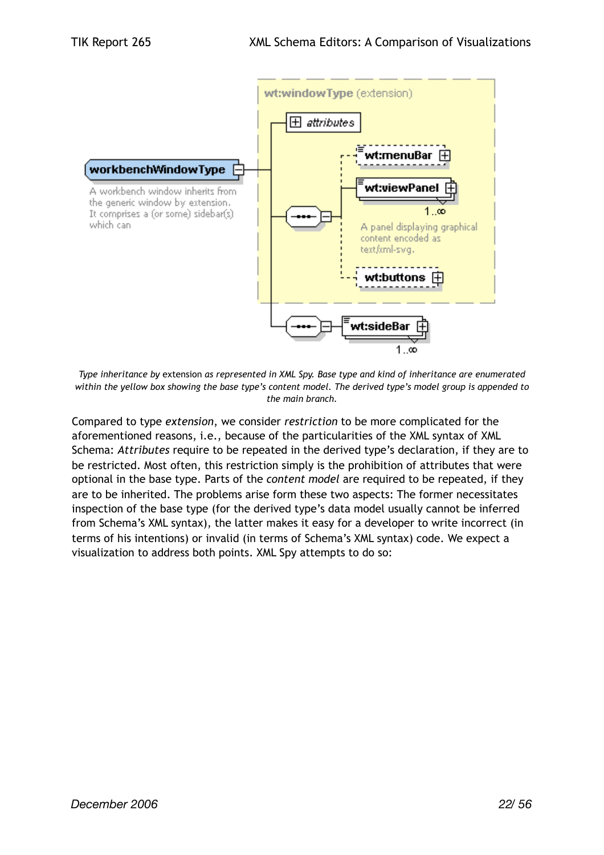

*Type inheritance by* extension *as represented in XML Spy. Base type and kind of inheritance are enumerated within the yellow box showing the base type's content model. The derived type's model group is appended to the main branch.*

Compared to type *extension*, we consider *restriction* to be more complicated for the aforementioned reasons, i.e., because of the particularities of the XML syntax of XML Schema: *Attributes* require to be repeated in the derived type's declaration, if they are to be restricted. Most often, this restriction simply is the prohibition of attributes that were optional in the base type. Parts of the *content model* are required to be repeated, if they are to be inherited. The problems arise form these two aspects: The former necessitates inspection of the base type (for the derived type's data model usually cannot be inferred from Schema's XML syntax), the latter makes it easy for a developer to write incorrect (in terms of his intentions) or invalid (in terms of Schema's XML syntax) code. We expect a visualization to address both points. XML Spy attempts to do so: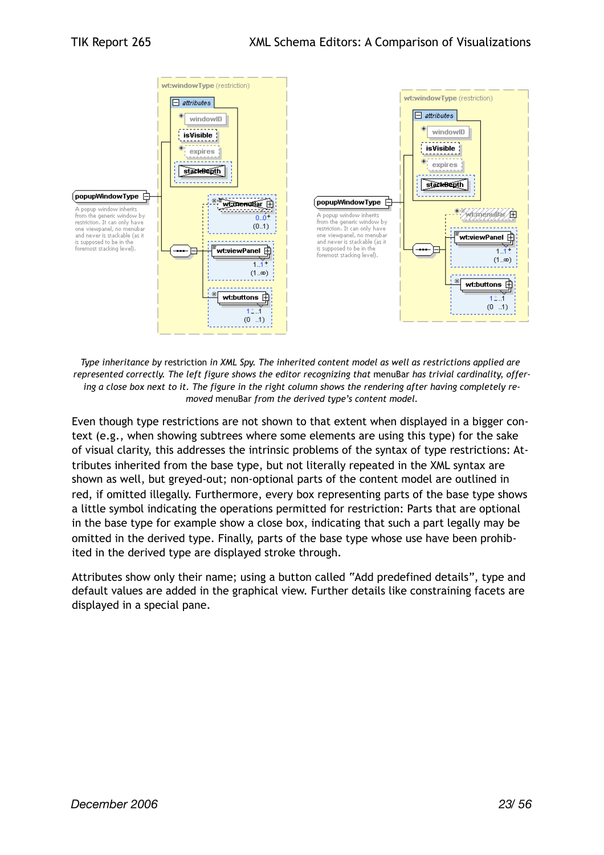

*Type inheritance by* restriction *in XML Spy. The inherited content model as well as restrictions applied are represented correctly. The left figure shows the editor recognizing that* menuBar *has trivial cardinality, offering a close box next to it. The figure in the right column shows the rendering after having completely removed* menuBar *from the derived type's content model.*

Even though type restrictions are not shown to that extent when displayed in a bigger context (e.g., when showing subtrees where some elements are using this type) for the sake of visual clarity, this addresses the intrinsic problems of the syntax of type restrictions: Attributes inherited from the base type, but not literally repeated in the XML syntax are shown as well, but greyed-out; non-optional parts of the content model are outlined in red, if omitted illegally. Furthermore, every box representing parts of the base type shows a little symbol indicating the operations permitted for restriction: Parts that are optional in the base type for example show a close box, indicating that such a part legally may be omitted in the derived type. Finally, parts of the base type whose use have been prohibited in the derived type are displayed stroke through.

Attributes show only their name; using a button called "Add predefined details", type and default values are added in the graphical view. Further details like constraining facets are displayed in a special pane.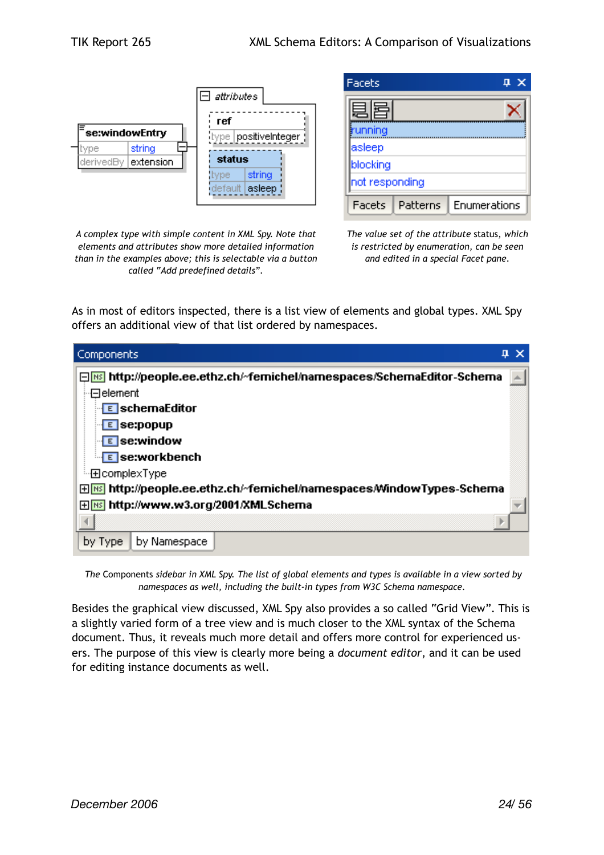

| Facets<br>×    |          |              |
|----------------|----------|--------------|
|                |          |              |
| unning         |          |              |
| asleep         |          |              |
| blocking       |          |              |
| not responding |          |              |
| Facets         | Patterns | Enumerations |

*A complex type with simple content in XML Spy. Note that elements and attributes show more detailed information than in the examples above; this is selectable via a button called "Add predefined details".*

*The value set of the attribute* status, *which is restricted by enumeration, can be seen and edited in a special Facet pane.*

As in most of editors inspected, there is a list view of elements and global types. XML Spy offers an additional view of that list ordered by namespaces.

| Components<br>Д                                                                        |
|----------------------------------------------------------------------------------------|
| □ <mark>[83</mark> ] http://people.ee.ethz.ch/~femichel/namespaces/SchemaEditor-Schema |
| ⊹⊟element                                                                              |
|                                                                                        |
| E se:popup                                                                             |
| <b>E</b> se:window                                                                     |
| E se:workbench                                                                         |
| ≔⊞complexType                                                                          |
| 田 <b>MS http://people.ee.ethz.ch/~femichel/namespaces/WindowTypes-Schema</b>           |
| 田 <mark>MS</mark> http://www.w3.org/2001/XMLSchema                                     |
|                                                                                        |
| by Namespace<br>by Type                                                                |

 *The* Components *sidebar in XML Spy. The list of global elements and types is available in a view sorted by namespaces as well, including the built-in types from W3C Schema namespace.*

Besides the graphical view discussed, XML Spy also provides a so called "Grid View". This is a slightly varied form of a tree view and is much closer to the XML syntax of the Schema document. Thus, it reveals much more detail and offers more control for experienced users. The purpose of this view is clearly more being a *document editor*, and it can be used for editing instance documents as well.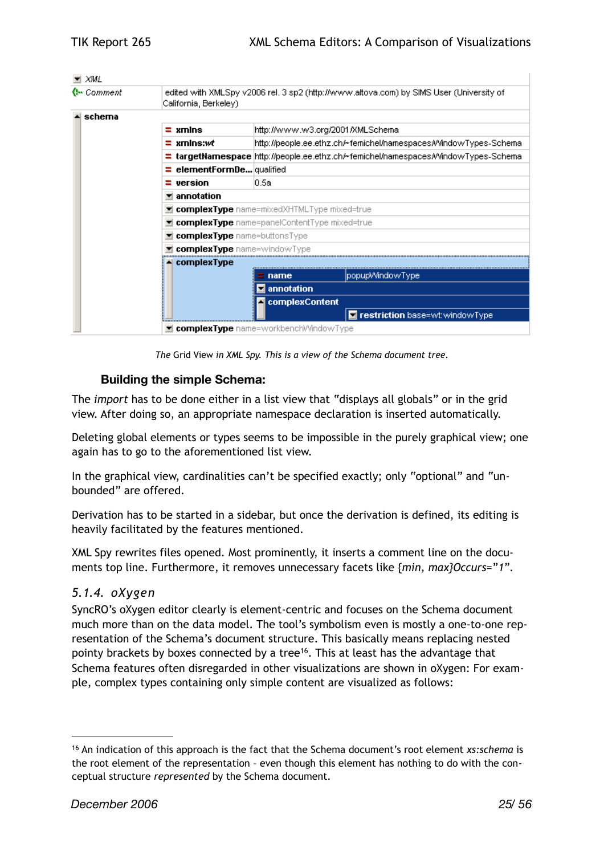| Q⊷ Comment              | edited with XMLSpy v2006 rel. 3 sp2 (http://www.altova.com) by SIMS User (University of<br>California, Berkeley). |  |  |
|-------------------------|-------------------------------------------------------------------------------------------------------------------|--|--|
| $\blacktriangle$ schema |                                                                                                                   |  |  |
|                         | $\equiv$ xmlns<br>http://www.w3.org/2001/XMLSchema                                                                |  |  |
|                         | http://people.ee.ethz.ch/~femichel/namespaces/WindowTypes-Schema<br>$\equiv$ xmlns:wt                             |  |  |
|                         | $\equiv$ targetNamespace $\vert$ http://people.ee.ethz.ch/~femichel/namespaces/WindowTypes-Schema                 |  |  |
|                         | $\equiv$ element Form De qualified                                                                                |  |  |
|                         | l0.5a<br>$\equiv$ version                                                                                         |  |  |
|                         | annotation                                                                                                        |  |  |
|                         | <b>E</b> complexType name=mixedXHTMLType mixed=true                                                               |  |  |
|                         | <b>E</b> complexType name=panelContentType mixed=true                                                             |  |  |
|                         | <b>E</b> complexType name=buttonsType                                                                             |  |  |
|                         | complexType name=windowType                                                                                       |  |  |
|                         | $\triangle$ complex Type                                                                                          |  |  |
|                         | popupWindowType<br>name                                                                                           |  |  |
|                         | $\blacksquare$ annotation                                                                                         |  |  |
|                         | ▲ complexContent                                                                                                  |  |  |
|                         | <b>E</b> restriction base=wt:windowType                                                                           |  |  |

*The* Grid View *in XML Spy. This is a view of the Schema document tree.*

#### **Building the simple Schema:**

The *import* has to be done either in a list view that "displays all globals" or in the grid view. After doing so, an appropriate namespace declaration is inserted automatically.

Deleting global elements or types seems to be impossible in the purely graphical view; one again has to go to the aforementioned list view.

In the graphical view, cardinalities can't be specified exactly; only "optional" and "unbounded" are offered.

Derivation has to be started in a sidebar, but once the derivation is defined, its editing is heavily facilitated by the features mentioned.

XML Spy rewrites files opened. Most prominently, it inserts a comment line on the documents top line. Furthermore, it removes unnecessary facets like {*min, max}Occurs="1".*

#### <span id="page-24-0"></span>*5.1.4. oXygen*

SyncRO's oXygen editor clearly is element-centric and focuses on the Schema document much more than on the data model. The tool's symbolism even is mostly a one-to-one representation of the Schema's document structure. This basically means replacing nested pointy brackets by boxes connected by a tree<sup>16</sup>. This at least has the advantage that Schema features often disregarded in other visualizations are shown in oXygen: For example, complex types containing only simple content are visualized as follows:

<span id="page-24-1"></span><sup>16</sup> An indication of this approach is the fact that the Schema document's root element *xs:schema* is the root element of the representation – even though this element has nothing to do with the conceptual structure *represented* by the Schema document.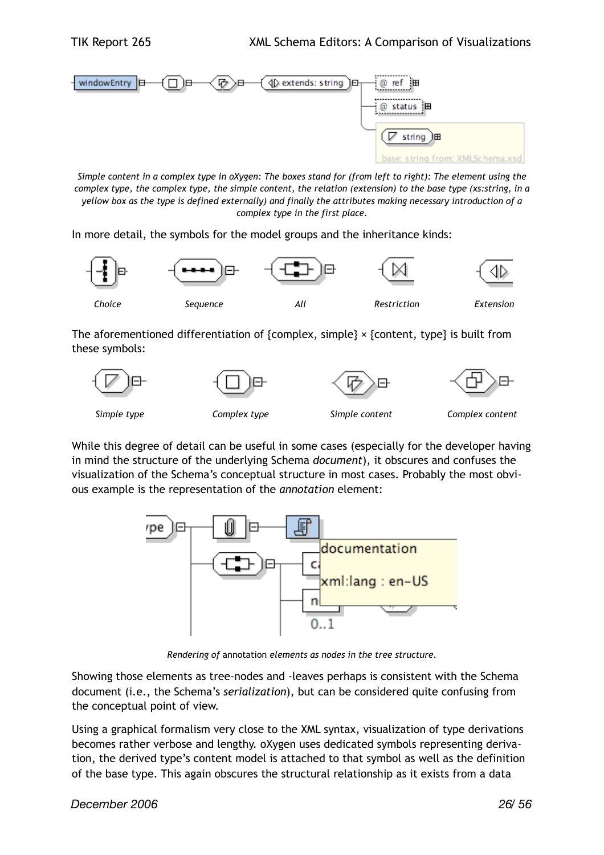

*Simple content in a complex type in oXygen: The boxes stand for (from left to right): The element using the complex type, the complex type, the simple content, the relation (extension) to the base type (xs:string, in a yellow box as the type is defined externally) and finally the attributes making necessary introduction of a complex type in the first place.*

In more detail, the symbols for the model groups and the inheritance kinds:



The aforementioned differentiation of {complex, simple}  $\times$  {content, type} is built from these symbols:



While this degree of detail can be useful in some cases (especially for the developer having in mind the structure of the underlying Schema *document*), it obscures and confuses the visualization of the Schema's conceptual structure in most cases. Probably the most obvious example is the representation of the *annotation* element:



*Rendering of* annotation *elements as nodes in the tree structure.*

Showing those elements as tree-nodes and -leaves perhaps is consistent with the Schema document (i.e., the Schema's *serialization*), but can be considered quite confusing from the conceptual point of view.

Using a graphical formalism very close to the XML syntax, visualization of type derivations becomes rather verbose and lengthy. oXygen uses dedicated symbols representing derivation, the derived type's content model is attached to that symbol as well as the definition of the base type. This again obscures the structural relationship as it exists from a data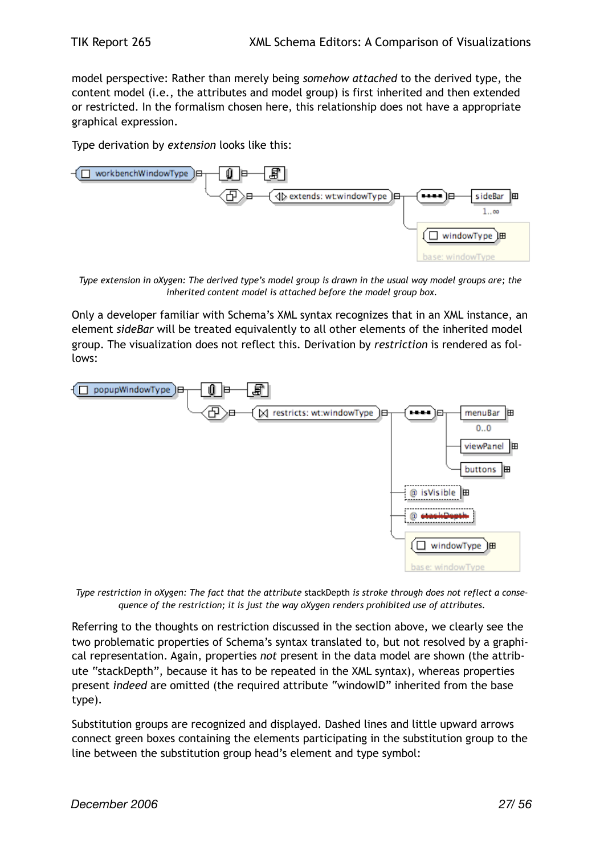model perspective: Rather than merely being *somehow attached* to the derived type, the content model (i.e., the attributes and model group) is first inherited and then extended or restricted. In the formalism chosen here, this relationship does not have a appropriate graphical expression.

Type derivation by *extension* looks like this:



*Type extension in oXygen: The derived type's model group is drawn in the usual way model groups are; the inherited content model is attached before the model group box.*

Only a developer familiar with Schema's XML syntax recognizes that in an XML instance, an element *sideBar* will be treated equivalently to all other elements of the inherited model group. The visualization does not reflect this. Derivation by *restriction* is rendered as follows:



*Type restriction in oXygen: The fact that the attribute* stackDepth *is stroke through does not reflect a consequence of the restriction; it is just the way oXygen renders prohibited use of attributes.*

Referring to the thoughts on restriction discussed in the section above, we clearly see the two problematic properties of Schema's syntax translated to, but not resolved by a graphical representation. Again, properties *not* present in the data model are shown (the attribute "stackDepth", because it has to be repeated in the XML syntax), whereas properties present *indeed* are omitted (the required attribute "windowID" inherited from the base type).

Substitution groups are recognized and displayed. Dashed lines and little upward arrows connect green boxes containing the elements participating in the substitution group to the line between the substitution group head's element and type symbol: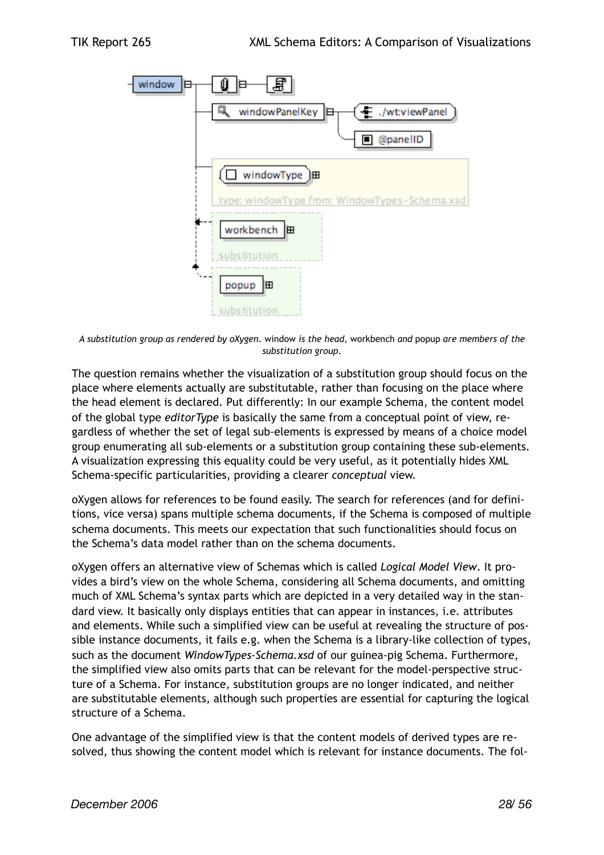

*A substitution group as rendered by oXygen.* window *is the head,* workbench *and* popup *are members of the substitution group.*

The question remains whether the visualization of a substitution group should focus on the place where elements actually are substitutable, rather than focusing on the place where the head element is declared. Put differently: In our example Schema, the content model of the global type *editorType* is basically the same from a conceptual point of view, regardless of whether the set of legal sub-elements is expressed by means of a choice model group enumerating all sub-elements or a substitution group containing these sub-elements. A visualization expressing this equality could be very useful, as it potentially hides XML Schema-specific particularities, providing a clearer *conceptual* view.

oXygen allows for references to be found easily. The search for references (and for definitions, vice versa) spans multiple schema documents, if the Schema is composed of multiple schema documents. This meets our expectation that such functionalities should focus on the Schema's data model rather than on the schema documents.

oXygen offers an alternative view of Schemas which is called *Logical Model View*. It provides a bird's view on the whole Schema, considering all Schema documents, and omitting much of XML Schema's syntax parts which are depicted in a very detailed way in the standard view. It basically only displays entities that can appear in instances, i.e. attributes and elements. While such a simplified view can be useful at revealing the structure of possible instance documents, it fails e.g. when the Schema is a library-like collection of types, such as the document *WindowTypes-Schema.xsd* of our guinea-pig Schema. Furthermore, the simplified view also omits parts that can be relevant for the model-perspective structure of a Schema. For instance, substitution groups are no longer indicated, and neither are substitutable elements, although such properties are essential for capturing the logical structure of a Schema.

One advantage of the simplified view is that the content models of derived types are resolved, thus showing the content model which is relevant for instance documents. The fol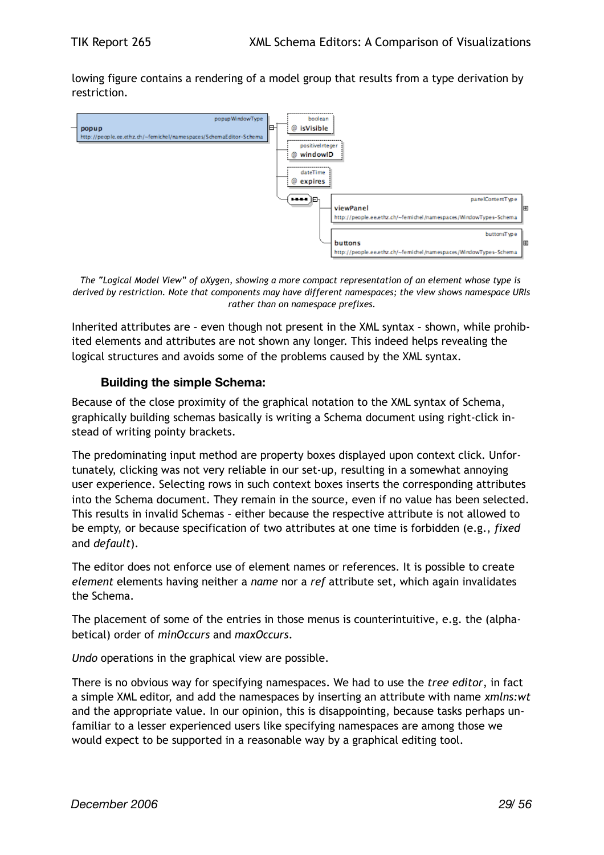lowing figure contains a rendering of a model group that results from a type derivation by restriction.



*The "Logical Model View" of oXygen, showing a more compact representation of an element whose type is derived by restriction. Note that components may have different namespaces; the view shows namespace URIs rather than on namespace prefixes.*

Inherited attributes are – even though not present in the XML syntax – shown, while prohibited elements and attributes are not shown any longer. This indeed helps revealing the logical structures and avoids some of the problems caused by the XML syntax.

#### **Building the simple Schema:**

Because of the close proximity of the graphical notation to the XML syntax of Schema, graphically building schemas basically is writing a Schema document using right-click instead of writing pointy brackets.

The predominating input method are property boxes displayed upon context click. Unfortunately, clicking was not very reliable in our set-up, resulting in a somewhat annoying user experience. Selecting rows in such context boxes inserts the corresponding attributes into the Schema document. They remain in the source, even if no value has been selected. This results in invalid Schemas – either because the respective attribute is not allowed to be empty, or because specification of two attributes at one time is forbidden (e.g., *fixed* and *default*).

The editor does not enforce use of element names or references. It is possible to create *element* elements having neither a *name* nor a *ref* attribute set, which again invalidates the Schema.

The placement of some of the entries in those menus is counterintuitive, e.g. the (alphabetical) order of *minOccurs* and *maxOccurs*.

*Undo* operations in the graphical view are possible.

There is no obvious way for specifying namespaces. We had to use the *tree editor*, in fact a simple XML editor, and add the namespaces by inserting an attribute with name *xmlns:wt* and the appropriate value. In our opinion, this is disappointing, because tasks perhaps unfamiliar to a lesser experienced users like specifying namespaces are among those we would expect to be supported in a reasonable way by a graphical editing tool.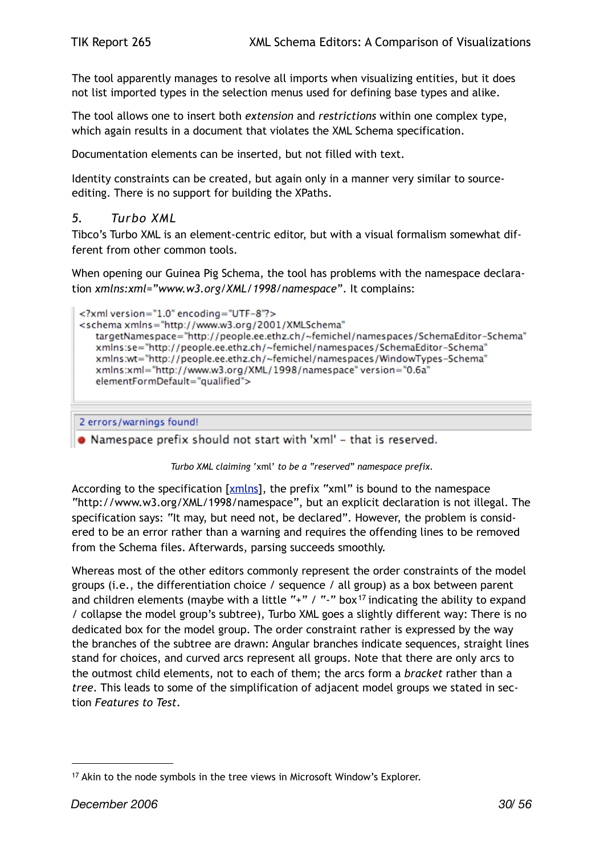The tool apparently manages to resolve all imports when visualizing entities, but it does not list imported types in the selection menus used for defining base types and alike.

The tool allows one to insert both *extension* and *restrictions* within one complex type, which again results in a document that violates the XML Schema specification.

Documentation elements can be inserted, but not filled with text.

Identity constraints can be created, but again only in a manner very similar to sourceediting. There is no support for building the XPaths.

#### <span id="page-29-0"></span>*5. Turbo XML*

Tibco's Turbo XML is an element-centric editor, but with a visual formalism somewhat different from other common tools.

When opening our Guinea Pig Schema, the tool has problems with the namespace declaration *xmlns:xml="www.w3.org/XML/1998/namespace"*. It complains:

```
<?xml version="1.0" encoding="UTF-8"?>
<schema xmlns="http://www.w3.org/2001/XMLSchema"
   targetNamespace="http://people.ee.ethz.ch/~femichel/namespaces/SchemaEditor-Schema"
   xmlns:se="http://people.ee.ethz.ch/~femichel/namespaces/SchemaEditor-Schema"
   xmlns:wt="http://people.ee.ethz.ch/~femichel/namespaces/WindowTypes-Schema"
   xmlns:xml="http://www.w3.org/XML/1998/namespace" version="0.6a"
   elementFormDefault="qualified">
```

```
2 errors/warnings found!
```
• Namespace prefix should not start with 'xml' - that is reserved.

#### *Turbo XML claiming* 'xml' *to be a "reserved" namespace prefix.*

According to the specification [\[xmlns\]](#page-44-5), the prefix "xml" is bound to the namespace "http://www.w3.org/XML/1998/namespace", but an explicit declaration is not illegal. The specification says: "It may, but need not, be declared". However, the problem is considered to be an error rather than a warning and requires the offending lines to be removed from the Schema files. Afterwards, parsing succeeds smoothly.

Whereas most of the other editors commonly represent the order constraints of the model groups (i.e., the differentiation choice / sequence / all group) as a box between parent and children elements (maybe with a little "+" / "-" box<sup>17</sup> indicating the ability to expand / collapse the model group's subtree), Turbo XML goes a slightly different way: There is no dedicated box for the model group. The order constraint rather is expressed by the way the branches of the subtree are drawn: Angular branches indicate sequences, straight lines stand for choices, and curved arcs represent all groups. Note that there are only arcs to the outmost child elements, not to each of them; the arcs form a *bracket* rather than a *tree*. This leads to some of the simplification of adjacent model groups we stated in section *Features to Test*.

<span id="page-29-1"></span><sup>&</sup>lt;sup>17</sup> Akin to the node symbols in the tree views in Microsoft Window's Explorer.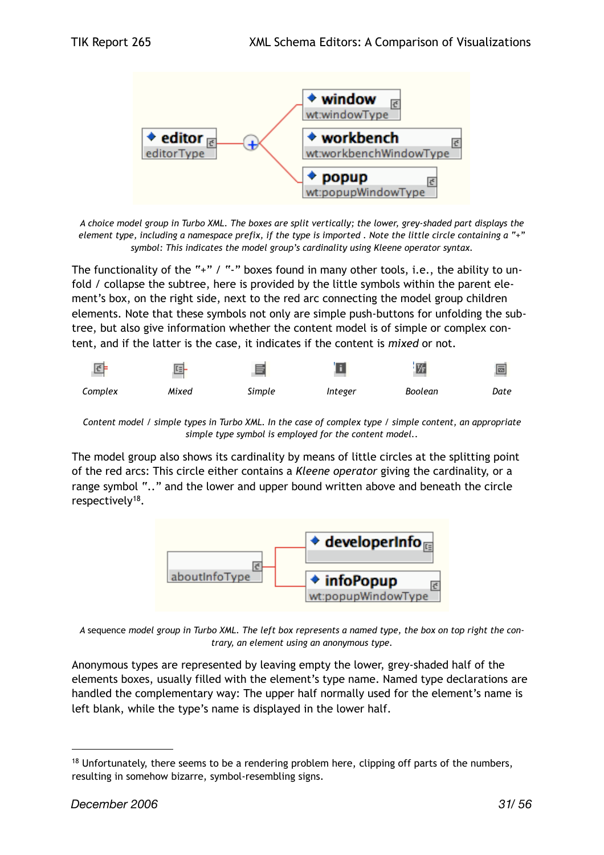

*A choice model group in Turbo XML. The boxes are split vertically; the lower, grey-shaded part displays the element type, including a namespace prefix, if the type is imported . Note the little circle containing a "+" symbol: This indicates the model group's cardinality using Kleene operator syntax.*

The functionality of the "+" / "-" boxes found in many other tools, i.e., the ability to unfold / collapse the subtree, here is provided by the little symbols within the parent element's box, on the right side, next to the red arc connecting the model group children elements. Note that these symbols not only are simple push-buttons for unfolding the subtree, but also give information whether the content model is of simple or complex content, and if the latter is the case, it indicates if the content is *mixed* or not.



*Content model / simple types in Turbo XML. In the case of complex type / simple content, an appropriate simple type symbol is employed for the content model..*

The model group also shows its cardinality by means of little circles at the splitting point of the red arcs: This circle either contains a *Kleene operator* giving the cardinality, or a range symbol ".." and the lower and upper bound written above and beneath the circle respectively<sup>[18](#page-30-0)</sup>.



*A* sequence *model group in Turbo XML. The left box represents a named type, the box on top right the contrary, an element using an anonymous type.*

Anonymous types are represented by leaving empty the lower, grey-shaded half of the elements boxes, usually filled with the element's type name. Named type declarations are handled the complementary way: The upper half normally used for the element's name is left blank, while the type's name is displayed in the lower half.

<span id="page-30-0"></span><sup>&</sup>lt;sup>18</sup> Unfortunately, there seems to be a rendering problem here, clipping off parts of the numbers, resulting in somehow bizarre, symbol-resembling signs.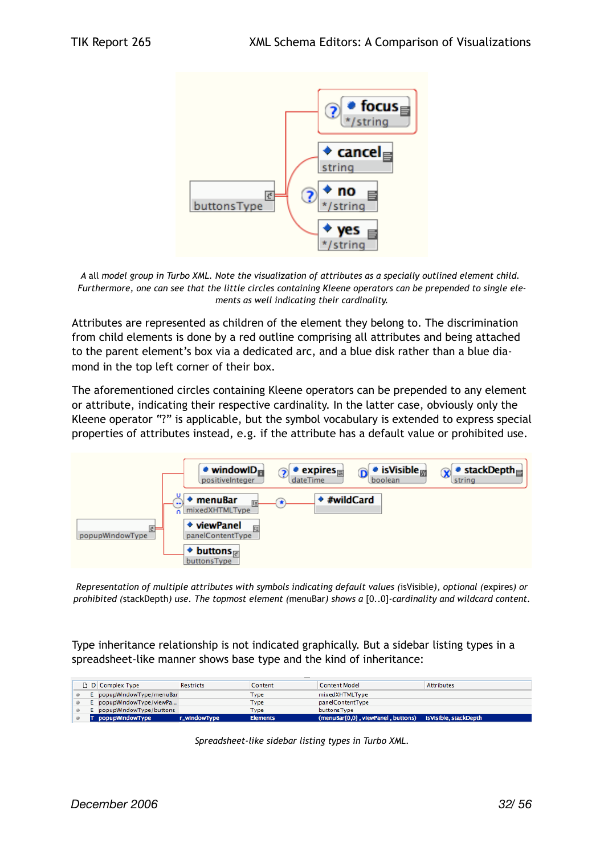

*A* all *model group in Turbo XML. Note the visualization of attributes as a specially outlined element child. Furthermore, one can see that the little circles containing Kleene operators can be prepended to single elements as well indicating their cardinality.*

Attributes are represented as children of the element they belong to. The discrimination from child elements is done by a red outline comprising all attributes and being attached to the parent element's box via a dedicated arc, and a blue disk rather than a blue diamond in the top left corner of their box.

The aforementioned circles containing Kleene operators can be prepended to any element or attribute, indicating their respective cardinality. In the latter case, obviously only the Kleene operator "?" is applicable, but the symbol vocabulary is extended to express special properties of attributes instead, e.g. if the attribute has a default value or prohibited use.



*Representation of multiple attributes with symbols indicating default values (*isVisible*), optional (*expires*) or prohibited (*stackDepth*) use. The topmost element (*menuBar*) shows a* [0..0]*-cardinality and wildcard content.*

Type inheritance relationship is not indicated graphically. But a sidebar listing types in a spreadsheet-like manner shows base type and the kind of inheritance:

|  | □ D Complex Type          | <b>Restricts</b> | Content         | <b>Content Model</b>               | <b>Attributes</b>      |
|--|---------------------------|------------------|-----------------|------------------------------------|------------------------|
|  | E popupWindowType/menuBar |                  | Type            | mixedXHTMLType                     |                        |
|  | E popupWindowType/viewPa  |                  | Type            | panelContentType                   |                        |
|  | E popupWindowType/buttons |                  | Type            | buttonsType                        |                        |
|  | T popupWindowType         | r_windowType     | <b>Elements</b> | (menuBar{0,0}, viewPanel, buttons) | is Visible, stackDepth |

*Spreadsheet-like sidebar listing types in Turbo XML.*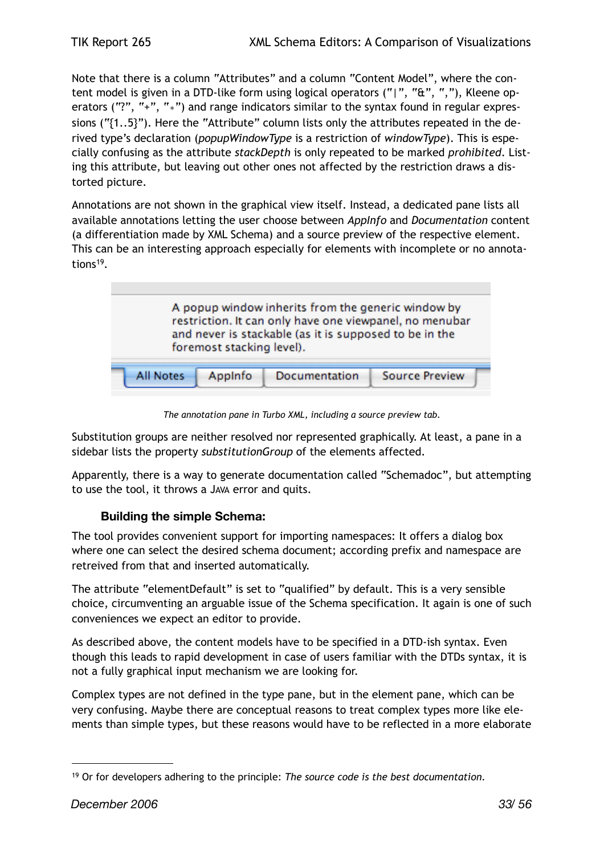Note that there is a column "Attributes" and a column "Content Model", where the content model is given in a DTD-like form using logical operators ("|", "&", ","), Kleene operators ("?", "+", "∗") and range indicators similar to the syntax found in regular expressions ("{1..5}"). Here the "Attribute" column lists only the attributes repeated in the derived type's declaration (*popupWindowType* is a restriction of *windowType*). This is especially confusing as the attribute *stackDepth* is only repeated to be marked *prohibited*. Listing this attribute, but leaving out other ones not affected by the restriction draws a distorted picture.

Annotations are not shown in the graphical view itself. Instead, a dedicated pane lists all available annotations letting the user choose between *AppInfo* and *Documentation* content (a differentiation made by XML Schema) and a source preview of the respective element. This can be an interesting approach especially for elements with incomplete or no annota-tions<sup>[19](#page-32-0)</sup>.



*The annotation pane in Turbo XML, including a source preview tab.*

Substitution groups are neither resolved nor represented graphically. At least, a pane in a sidebar lists the property *substitutionGroup* of the elements affected.

Apparently, there is a way to generate documentation called "Schemadoc", but attempting to use the tool, it throws a JAVA error and quits.

#### **Building the simple Schema:**

The tool provides convenient support for importing namespaces: It offers a dialog box where one can select the desired schema document; according prefix and namespace are retreived from that and inserted automatically.

The attribute "elementDefault" is set to "qualified" by default. This is a very sensible choice, circumventing an arguable issue of the Schema specification. It again is one of such conveniences we expect an editor to provide.

As described above, the content models have to be specified in a DTD-ish syntax. Even though this leads to rapid development in case of users familiar with the DTDs syntax, it is not a fully graphical input mechanism we are looking for.

Complex types are not defined in the type pane, but in the element pane, which can be very confusing. Maybe there are conceptual reasons to treat complex types more like elements than simple types, but these reasons would have to be reflected in a more elaborate

<span id="page-32-0"></span><sup>19</sup> Or for developers adhering to the principle: *The source code is the best documentation.*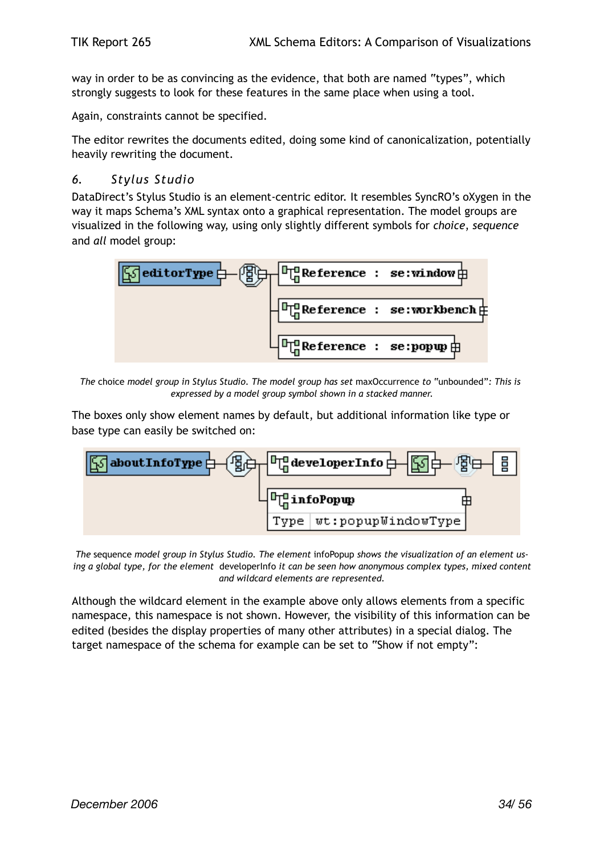way in order to be as convincing as the evidence, that both are named "types", which strongly suggests to look for these features in the same place when using a tool.

Again, constraints cannot be specified.

The editor rewrites the documents edited, doing some kind of canonicalization, potentially heavily rewriting the document.

#### <span id="page-33-0"></span>*6. Stylus Studio*

DataDirect's Stylus Studio is an element-centric editor. It resembles SyncRO's oXygen in the way it maps Schema's XML syntax onto a graphical representation. The model groups are visualized in the following way, using only slightly different symbols for *choice*, *sequence* and *all* model group:



*The* choice *model group in Stylus Studio. The model group has set* maxOccurrence *to* "unbounded"*: This is expressed by a model group symbol shown in a stacked manner.*

The boxes only show element names by default, but additional information like type or base type can easily be switched on:



*The* sequence *model group in Stylus Studio. The element* infoPopup *shows the visualization of an element using a global type, for the element* developerInfo *it can be seen how anonymous complex types, mixed content and wildcard elements are represented.*

Although the wildcard element in the example above only allows elements from a specific namespace, this namespace is not shown. However, the visibility of this information can be edited (besides the display properties of many other attributes) in a special dialog. The target namespace of the schema for example can be set to "Show if not empty":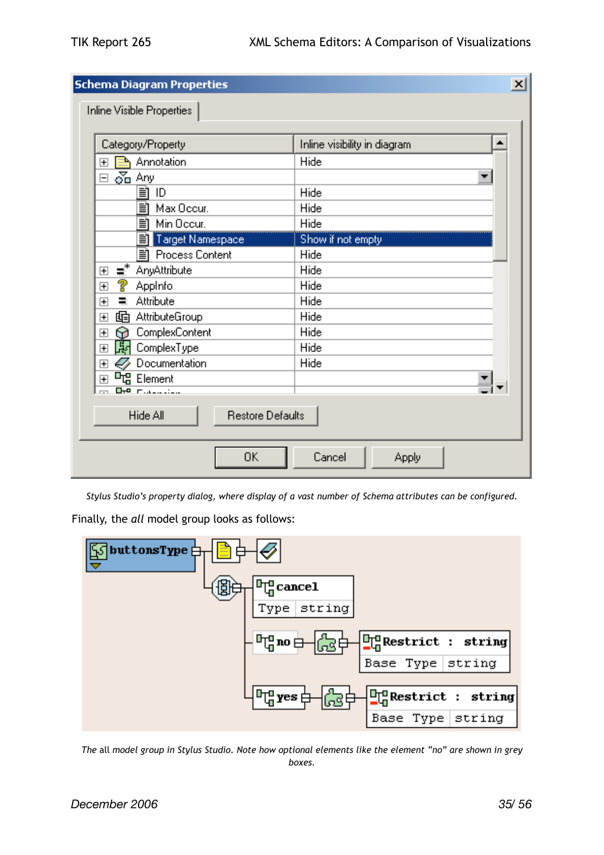| <b>Schema Diagram Properties</b><br>$\vert x \vert$             |                              |  |  |  |  |
|-----------------------------------------------------------------|------------------------------|--|--|--|--|
| Inline Visible Properties                                       |                              |  |  |  |  |
| Category/Property                                               | Inline visibility in diagram |  |  |  |  |
| Annotation<br>⇒<br>曱                                            | Hide                         |  |  |  |  |
| $\delta$ <sub>D</sub> Any<br>$\Box$                             |                              |  |  |  |  |
| 刯<br>ID                                                         | Hide                         |  |  |  |  |
| EÌ<br>Max Occur.                                                | Hide                         |  |  |  |  |
| ΞÌ<br>Min Occur.                                                | Hide                         |  |  |  |  |
| 刯<br>Target Namespace                                           | Show if not empty            |  |  |  |  |
| Process Content<br>ΞÌ                                           | Hide                         |  |  |  |  |
| $\equiv$ <sup>*</sup><br>AnyAttribute<br>$\overline{+}$         | Hide                         |  |  |  |  |
| စူ<br>Appinfo<br>$\overline{\mathbf{H}}$                        | Hide                         |  |  |  |  |
| Attribute<br>Ξ<br>$\overline{\mathbf{H}}$                       | Hide                         |  |  |  |  |
| AttributeGroup<br>啯<br>ஈ                                        | Hide                         |  |  |  |  |
| ComplexContent<br>ဂေ<br>ஈ                                       | Hide                         |  |  |  |  |
| 郾<br>ComplexType<br>$\overline{+}$                              | Hide                         |  |  |  |  |
| Documentation<br>$\overline{\mathbf{H}}$                        | Hide                         |  |  |  |  |
| <b>『</b> 唱 Element<br>$\overline{+}$<br><b>Drei manageriche</b> |                              |  |  |  |  |
|                                                                 |                              |  |  |  |  |
| Hide All<br><b>Restore Defaults</b>                             |                              |  |  |  |  |
| 0K<br>Cancel<br>Apply                                           |                              |  |  |  |  |

*Stylus Studio's property dialog, where display of a vast number of Schema attributes can be configured.*

Finally, the *all* model group looks as follows:



*The* all *model group in Stylus Studio. Note how optional elements like the element "no" are shown in grey boxes.*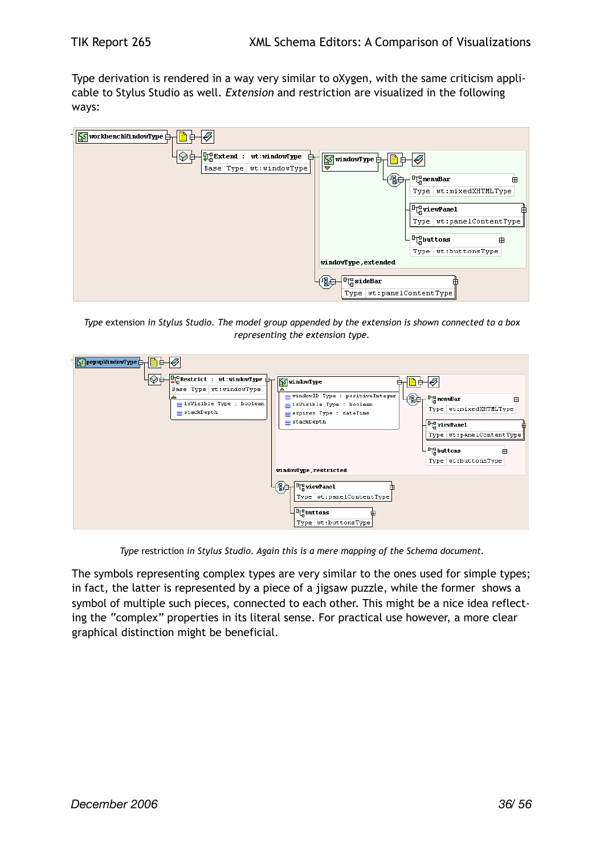Type derivation is rendered in a way very similar to oXygen, with the same criticism applicable to Stylus Studio as well. *Extension* and restriction are visualized in the following ways:

| 自<br>$\sqrt{\frac{1}{2}}$ workbenchWindowType $\frac{1}{\sqrt{1}}$<br>₿     |                                                                   |
|-----------------------------------------------------------------------------|-------------------------------------------------------------------|
| <mark>마</mark> Extend :<br>wt:windowType<br>₿<br>Base Type<br>wt:windowType | $\frac{1}{2}$ window Type $\frac{1}{2}$<br>Ø<br>8<br>▿            |
|                                                                             | 倒<br><sup>D</sup> <sub>In</sub> menuBar<br>田<br>wt:mixedXHTMLType |
|                                                                             | Type  <br><sup>D</sup> u viewPanel                                |
|                                                                             | wt:panelContentType<br>Type                                       |
|                                                                             | $L_{\mathbf{q}}^{\mathbf{p}}$ buttons<br>田                        |
|                                                                             | wt:buttonsType<br>Type  <br>windowType, extended                  |
|                                                                             | $\Gamma$ sideBar<br>倒身                                            |
|                                                                             | wt:panelContentType<br>Type                                       |

*Type* extension *in Stylus Studio. The model group appended by the extension is shown connected to a box representing the extension type.*

| ⊪<br>$\sqrt{\frac{1}{2}}$ popup MindowType $\frac{1}{\sqrt{1}}$<br>$\frac{10}{10}$ Restrict : wt:windowType $\frac{1}{11}$<br>Base Type   wt: windowType<br>sVisible Type : boolean<br>$\equiv$ stackDepth | WindowType<br>$=$ windowID Type : positiveInteger<br>母<br><sup>D</sup> <sub>in</sub> menuBar<br>⊞<br>sisVisible Type : boolean<br>Type   wt:mixedXHTMLType<br>expires Type : dateTime<br>$=$ stackDepth<br>$\sqrt{\frac{1}{2} \frac{1}{2}}$ viewPanel<br>Type   wt:panelContentType |
|------------------------------------------------------------------------------------------------------------------------------------------------------------------------------------------------------------|-------------------------------------------------------------------------------------------------------------------------------------------------------------------------------------------------------------------------------------------------------------------------------------|
|                                                                                                                                                                                                            | $-\frac{D_{\Box}}{D_{\Box}}$ buttons<br>⊞<br>Type wt:buttonsType<br>windowType,restricted<br>御一<br>$\frac{1}{2}$ viewPanel<br>Type   wt:panelContentType<br>- <b>Tep</b> but tons<br>Type   wt:buttonsType                                                                          |

*Type* restriction *in Stylus Studio. Again this is a mere mapping of the Schema document.*

The symbols representing complex types are very similar to the ones used for simple types; in fact, the latter is represented by a piece of a jigsaw puzzle, while the former shows a symbol of multiple such pieces, connected to each other. This might be a nice idea reflecting the "complex" properties in its literal sense. For practical use however, a more clear graphical distinction might be beneficial.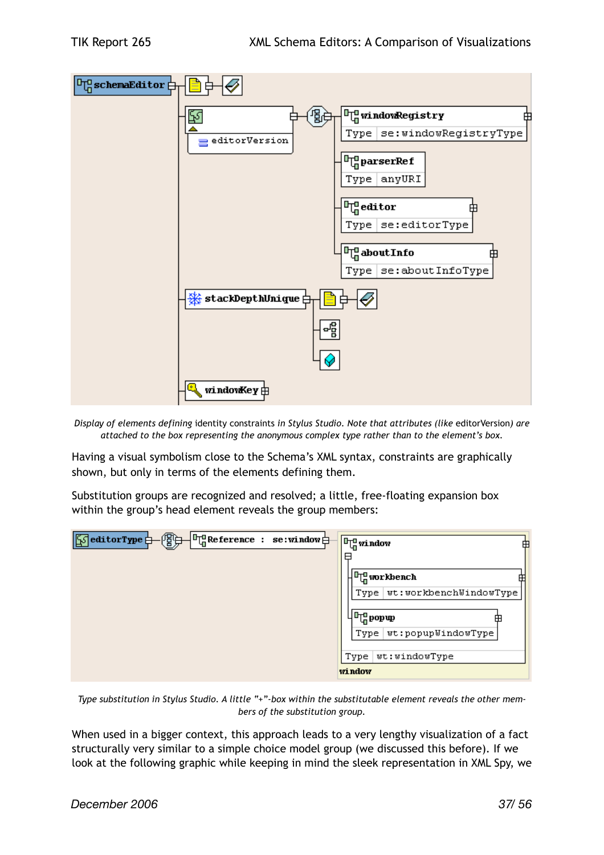

*Display of elements defining* identity constraints *in Stylus Studio. Note that attributes (like* editorVersion*) are attached to the box representing the anonymous complex type rather than to the element's box.*

Having a visual symbolism close to the Schema's XML syntax, constraints are graphically shown, but only in terms of the elements defining them.

Substitution groups are recognized and resolved; a little, free-floating expansion box within the group's head element reveals the group members:

| $\begin{array}{ c c c c c }\n\hline\n\text{``a} & \text{``a} & \text{``b} & \text{``b} \\ \hline\n\text{``a} & \text{``b} & \text{``c} & \text{``c} \\ \hline\n\text{``b} & \text{``c} & \text{``c} & \text{``c} \\ \hline\n\text{``c} & \text{``c} & \text{``c} & \text{``c} \\ \hline\n\text{``c} & \text{``c} & \text{``c} & \text{``c} \\ \hline\n\text{``c} & \text{``c} & \text{``c} & \text{``c} \\ \hline\n\text{``c}$ | $\mathbf{F}$ window<br>由<br>⊟                                                              |
|--------------------------------------------------------------------------------------------------------------------------------------------------------------------------------------------------------------------------------------------------------------------------------------------------------------------------------------------------------------------------------------------------------------------------------|--------------------------------------------------------------------------------------------|
|                                                                                                                                                                                                                                                                                                                                                                                                                                | <sup>D</sup> <sub>in</sub> workbench<br>wt:workbenchWindowType<br>Type                     |
|                                                                                                                                                                                                                                                                                                                                                                                                                                | $\mathbb{P}^{\mathbf{q}}_{\mathbf{q}}$ pop $\mathbf{q}$<br>Æ<br>wt:popupWindowType<br>Type |
|                                                                                                                                                                                                                                                                                                                                                                                                                                | wt:windowType<br>Type<br>window                                                            |

*Type substitution in Stylus Studio. A little "+"-box within the substitutable element reveals the other members of the substitution group.*

When used in a bigger context, this approach leads to a very lengthy visualization of a fact structurally very similar to a simple choice model group (we discussed this before). If we look at the following graphic while keeping in mind the sleek representation in XML Spy, we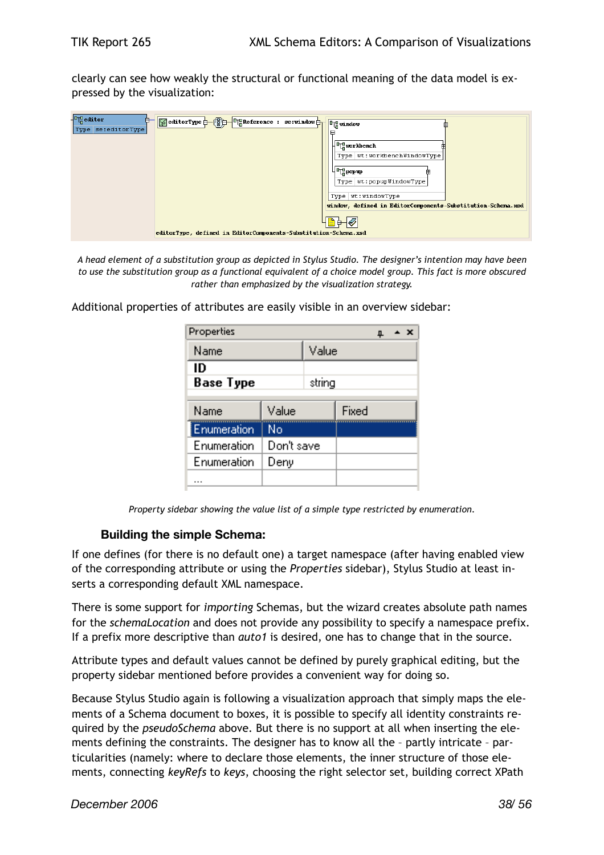clearly can see how weakly the structural or functional meaning of the data model is expressed by the visualization:

| $\frac{1}{2}$ editor<br>₿<br>Type se:editorType | 「SeditorType <del>」</del> (图) 「「 Reference : se:window <del>】</del> | <b>Fu</b> window                                                                     |
|-------------------------------------------------|---------------------------------------------------------------------|--------------------------------------------------------------------------------------|
|                                                 |                                                                     | ⊟<br>H <sup>ng</sup> workbench                                                       |
|                                                 |                                                                     | Type   wt: workbenchWindowType                                                       |
|                                                 |                                                                     | , վն <sub>ա</sub> րօրաթ<br>Æ                                                         |
|                                                 |                                                                     | Type   wt:popupWindowType                                                            |
|                                                 |                                                                     | Type   wt: windowType<br>window, defined in EditorComponents-Substitution-Schema.xsd |
|                                                 |                                                                     |                                                                                      |
|                                                 | editorType, defined in EditorComponents-Substitution-Schema.xsd     |                                                                                      |

*A head element of a substitution group as depicted in Stylus Studio. The designer's intention may have been to use the substitution group as a functional equivalent of a choice model group. This fact is more obscured rather than emphasized by the visualization strategy.*

Additional properties of attributes are easily visible in an overview sidebar:

| Properties<br>∸ ×<br>ᄮ |            |        |       |  |  |  |
|------------------------|------------|--------|-------|--|--|--|
| Name                   |            | Value  |       |  |  |  |
| ID<br><b>Base Type</b> |            | string |       |  |  |  |
| Name                   | Value      |        | Fixed |  |  |  |
| Enumeration            | No         |        |       |  |  |  |
| Enumeration            | Don't save |        |       |  |  |  |
| Enumeration            | Deny       |        |       |  |  |  |
|                        |            |        |       |  |  |  |

*Property sidebar showing the value list of a simple type restricted by enumeration.*

#### **Building the simple Schema:**

If one defines (for there is no default one) a target namespace (after having enabled view of the corresponding attribute or using the *Properties* sidebar), Stylus Studio at least inserts a corresponding default XML namespace.

There is some support for *importing* Schemas, but the wizard creates absolute path names for the *schemaLocation* and does not provide any possibility to specify a namespace prefix. If a prefix more descriptive than *auto1* is desired, one has to change that in the source.

Attribute types and default values cannot be defined by purely graphical editing, but the property sidebar mentioned before provides a convenient way for doing so.

Because Stylus Studio again is following a visualization approach that simply maps the elements of a Schema document to boxes, it is possible to specify all identity constraints required by the *pseudoSchema* above. But there is no support at all when inserting the elements defining the constraints. The designer has to know all the – partly intricate – particularities (namely: where to declare those elements, the inner structure of those elements, connecting *keyRefs* to *keys*, choosing the right selector set, building correct XPath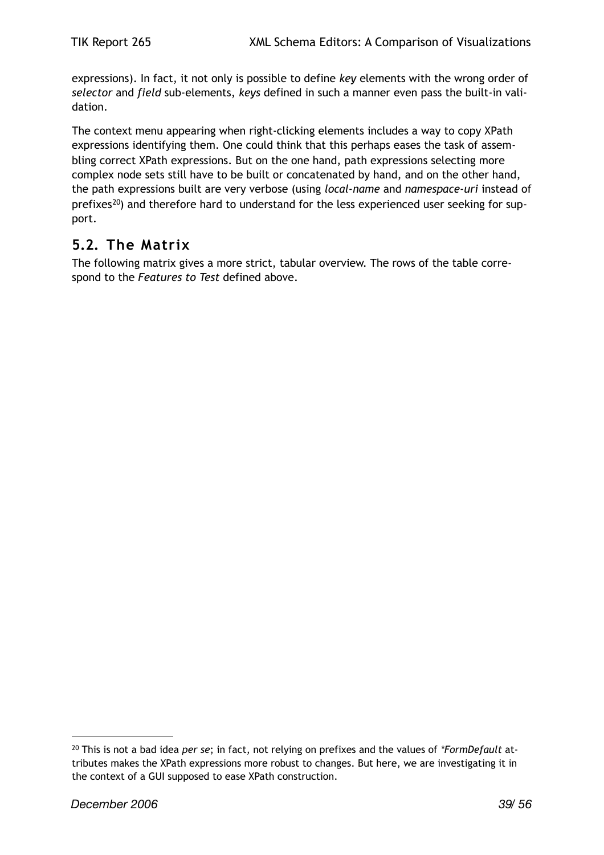expressions). In fact, it not only is possible to define *key* elements with the wrong order of *selector* and *field* sub-elements, *keys* defined in such a manner even pass the built-in validation.

The context menu appearing when right-clicking elements includes a way to copy XPath expressions identifying them. One could think that this perhaps eases the task of assembling correct XPath expressions. But on the one hand, path expressions selecting more complex node sets still have to be built or concatenated by hand, and on the other hand, the path expressions built are very verbose (using *local-name* and *namespace-uri* instead of prefixes<sup>[20](#page-38-1)</sup>) and therefore hard to understand for the less experienced user seeking for support.

## <span id="page-38-0"></span>**5.2. The Matrix**

The following matrix gives a more strict, tabular overview. The rows of the table correspond to the *Features to Test* defined above.

<span id="page-38-1"></span><sup>20</sup> This is not a bad idea *per se*; in fact, not relying on prefixes and the values of *\*FormDefault* attributes makes the XPath expressions more robust to changes. But here, we are investigating it in the context of a GUI supposed to ease XPath construction.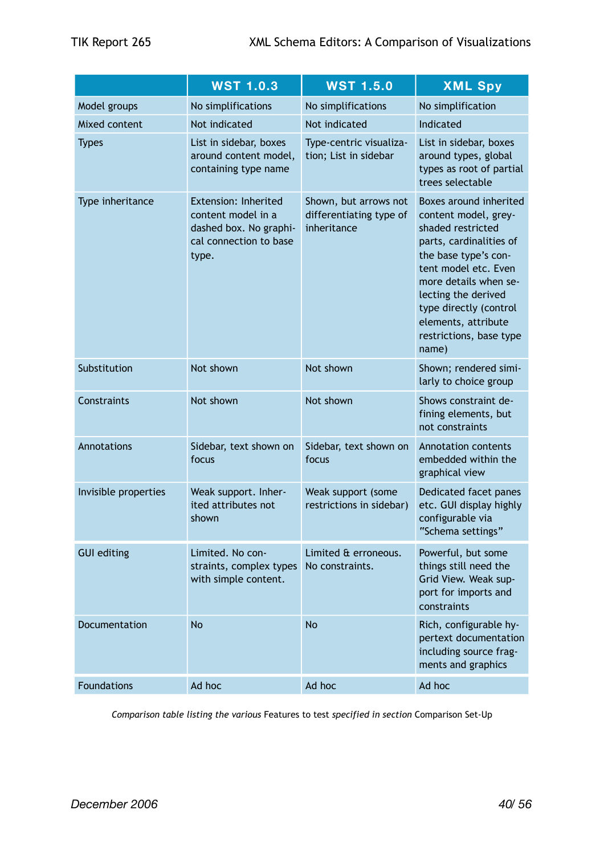|                      | <b>WST 1.0.3</b>                                                                                        | <b>WST 1.5.0</b>                                                | <b>XML Spy</b>                                                                                                                                                                                                                                                                      |  |
|----------------------|---------------------------------------------------------------------------------------------------------|-----------------------------------------------------------------|-------------------------------------------------------------------------------------------------------------------------------------------------------------------------------------------------------------------------------------------------------------------------------------|--|
| Model groups         | No simplifications                                                                                      | No simplifications                                              | No simplification                                                                                                                                                                                                                                                                   |  |
| Mixed content        | Not indicated                                                                                           | Not indicated                                                   | Indicated                                                                                                                                                                                                                                                                           |  |
| <b>Types</b>         | List in sidebar, boxes<br>around content model,<br>containing type name                                 | Type-centric visualiza-<br>tion; List in sidebar                | List in sidebar, boxes<br>around types, global<br>types as root of partial<br>trees selectable                                                                                                                                                                                      |  |
| Type inheritance     | Extension: Inherited<br>content model in a<br>dashed box. No graphi-<br>cal connection to base<br>type. | Shown, but arrows not<br>differentiating type of<br>inheritance | Boxes around inherited<br>content model, grey-<br>shaded restricted<br>parts, cardinalities of<br>the base type's con-<br>tent model etc. Even<br>more details when se-<br>lecting the derived<br>type directly (control<br>elements, attribute<br>restrictions, base type<br>name) |  |
| Substitution         | Not shown                                                                                               | Not shown                                                       | Shown; rendered simi-<br>larly to choice group                                                                                                                                                                                                                                      |  |
| Constraints          | Not shown                                                                                               | Not shown                                                       | Shows constraint de-<br>fining elements, but<br>not constraints                                                                                                                                                                                                                     |  |
| Annotations          | Sidebar, text shown on<br>focus                                                                         | Sidebar, text shown on<br>focus                                 | <b>Annotation contents</b><br>embedded within the<br>graphical view                                                                                                                                                                                                                 |  |
| Invisible properties | Weak support. Inher-<br>ited attributes not<br>shown                                                    | Weak support (some<br>restrictions in sidebar)                  | Dedicated facet panes<br>etc. GUI display highly<br>configurable via<br>"Schema settings"                                                                                                                                                                                           |  |
| <b>GUI editing</b>   | Limited. No con-<br>straints, complex types<br>with simple content.                                     | Limited & erroneous.<br>No constraints.                         | Powerful, but some<br>things still need the<br>Grid View. Weak sup-<br>port for imports and<br>constraints                                                                                                                                                                          |  |
| Documentation        | <b>No</b>                                                                                               | <b>No</b>                                                       | Rich, configurable hy-<br>pertext documentation<br>including source frag-<br>ments and graphics                                                                                                                                                                                     |  |
| <b>Foundations</b>   | Ad hoc                                                                                                  | Ad hoc                                                          | Ad hoc                                                                                                                                                                                                                                                                              |  |

*Comparison table listing the various* Features to test *specified in section* Comparison Set-Up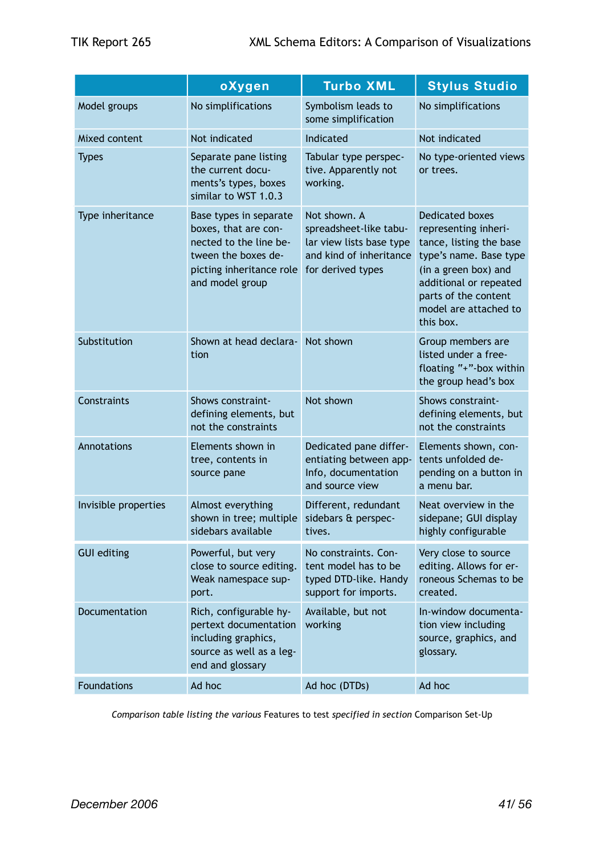|                      | oXygen                                                                                                                                         | <b>Turbo XML</b>                                                                                                   | <b>Stylus Studio</b>                                                                                                                                                                                                |  |
|----------------------|------------------------------------------------------------------------------------------------------------------------------------------------|--------------------------------------------------------------------------------------------------------------------|---------------------------------------------------------------------------------------------------------------------------------------------------------------------------------------------------------------------|--|
| Model groups         | No simplifications                                                                                                                             | Symbolism leads to<br>some simplification                                                                          | No simplifications                                                                                                                                                                                                  |  |
| Mixed content        | Not indicated                                                                                                                                  | Indicated                                                                                                          | Not indicated                                                                                                                                                                                                       |  |
| <b>Types</b>         | Separate pane listing<br>the current docu-<br>ments's types, boxes<br>similar to WST 1.0.3                                                     | Tabular type perspec-<br>tive. Apparently not<br>working.                                                          | No type-oriented views<br>or trees.                                                                                                                                                                                 |  |
| Type inheritance     | Base types in separate<br>boxes, that are con-<br>nected to the line be-<br>tween the boxes de-<br>picting inheritance role<br>and model group | Not shown. A<br>spreadsheet-like tabu-<br>lar view lists base type<br>and kind of inheritance<br>for derived types | <b>Dedicated boxes</b><br>representing inheri-<br>tance, listing the base<br>type's name. Base type<br>(in a green box) and<br>additional or repeated<br>parts of the content<br>model are attached to<br>this box. |  |
| Substitution         | Shown at head declara-<br>tion                                                                                                                 | Not shown                                                                                                          | Group members are<br>listed under a free-<br>floating "+"-box within<br>the group head's box                                                                                                                        |  |
| Constraints          | Shows constraint-<br>defining elements, but<br>not the constraints                                                                             | Not shown                                                                                                          | Shows constraint-<br>defining elements, but<br>not the constraints                                                                                                                                                  |  |
| Annotations          | Elements shown in<br>tree, contents in<br>source pane                                                                                          | Dedicated pane differ-<br>entiating between app-<br>Info, documentation<br>and source view                         | Elements shown, con-<br>tents unfolded de-<br>pending on a button in<br>a menu bar.                                                                                                                                 |  |
| Invisible properties | Almost everything<br>shown in tree; multiple<br>sidebars available                                                                             | Different, redundant<br>sidebars & perspec-<br>tives.                                                              | Neat overview in the<br>sidepane; GUI display<br>highly configurable                                                                                                                                                |  |
| <b>GUI editing</b>   | Powerful, but very<br>close to source editing.<br>Weak namespace sup-<br>port.                                                                 | No constraints. Con-<br>tent model has to be<br>typed DTD-like. Handy<br>support for imports.                      | Very close to source<br>editing. Allows for er-<br>roneous Schemas to be<br>created.                                                                                                                                |  |
| Documentation        | Rich, configurable hy-<br>pertext documentation<br>including graphics,<br>source as well as a leg-<br>end and glossary                         | Available, but not<br>working                                                                                      | In-window documenta-<br>tion view including<br>source, graphics, and<br>glossary.                                                                                                                                   |  |
| <b>Foundations</b>   | Ad hoc                                                                                                                                         | Ad hoc (DTDs)                                                                                                      | Ad hoc                                                                                                                                                                                                              |  |

*Comparison table listing the various* Features to test *specified in section* Comparison Set-Up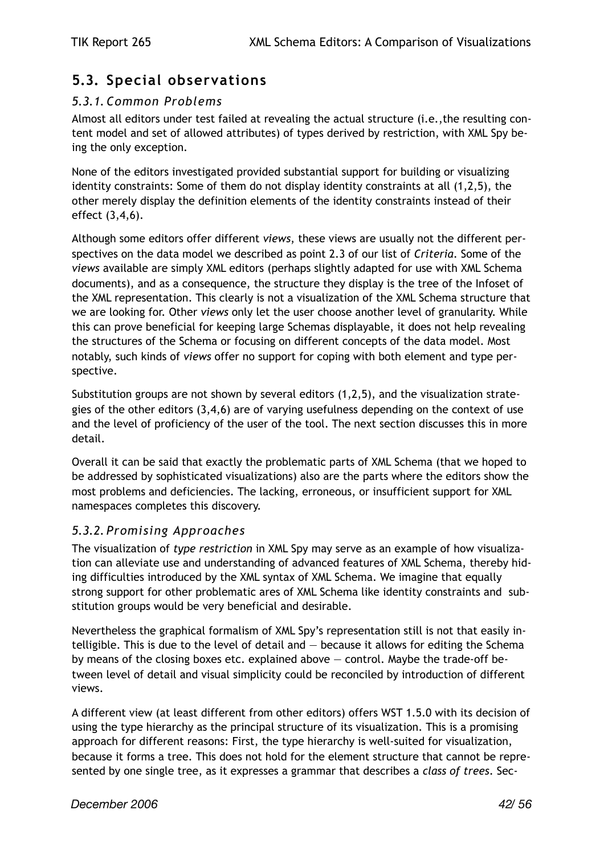## <span id="page-41-0"></span>**5.3. Special observations**

#### <span id="page-41-1"></span>*5.3.1. Common Problems*

Almost all editors under test failed at revealing the actual structure (i.e.,the resulting content model and set of allowed attributes) of types derived by restriction, with XML Spy being the only exception.

None of the editors investigated provided substantial support for building or visualizing identity constraints: Some of them do not display identity constraints at all (1,2,5), the other merely display the definition elements of the identity constraints instead of their effect (3,4,6).

Although some editors offer different *views*, these views are usually not the different perspectives on the data model we described as point 2.3 of our list of *Criteria*. Some of the *views* available are simply XML editors (perhaps slightly adapted for use with XML Schema documents), and as a consequence, the structure they display is the tree of the Infoset of the XML representation. This clearly is not a visualization of the XML Schema structure that we are looking for. Other *views* only let the user choose another level of granularity. While this can prove beneficial for keeping large Schemas displayable, it does not help revealing the structures of the Schema or focusing on different concepts of the data model. Most notably, such kinds of *views* offer no support for coping with both element and type perspective.

Substitution groups are not shown by several editors (1,2,5), and the visualization strategies of the other editors  $(3,4,6)$  are of varying usefulness depending on the context of use and the level of proficiency of the user of the tool. The next section discusses this in more detail.

Overall it can be said that exactly the problematic parts of XML Schema (that we hoped to be addressed by sophisticated visualizations) also are the parts where the editors show the most problems and deficiencies. The lacking, erroneous, or insufficient support for XML namespaces completes this discovery.

#### <span id="page-41-2"></span>*5.3.2. Promising Approaches*

The visualization of *type restriction* in XML Spy may serve as an example of how visualization can alleviate use and understanding of advanced features of XML Schema, thereby hiding difficulties introduced by the XML syntax of XML Schema. We imagine that equally strong support for other problematic ares of XML Schema like identity constraints and substitution groups would be very beneficial and desirable.

Nevertheless the graphical formalism of XML Spy's representation still is not that easily intelligible. This is due to the level of detail and  $-$  because it allows for editing the Schema by means of the closing boxes etc. explained above — control. Maybe the trade-off between level of detail and visual simplicity could be reconciled by introduction of different views.

A different view (at least different from other editors) offers WST 1.5.0 with its decision of using the type hierarchy as the principal structure of its visualization. This is a promising approach for different reasons: First, the type hierarchy is well-suited for visualization, because it forms a tree. This does not hold for the element structure that cannot be represented by one single tree, as it expresses a grammar that describes a *class of trees*. Sec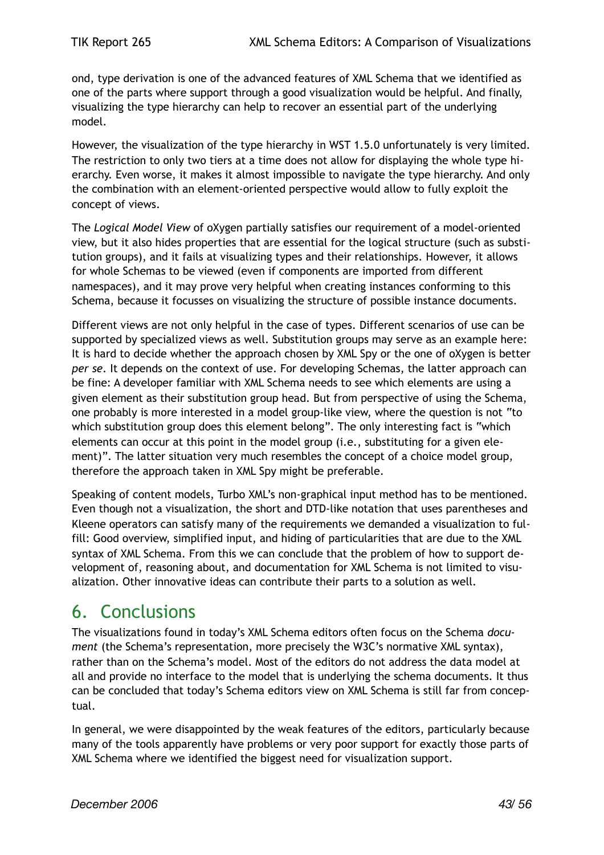ond, type derivation is one of the advanced features of XML Schema that we identified as one of the parts where support through a good visualization would be helpful. And finally, visualizing the type hierarchy can help to recover an essential part of the underlying model.

However, the visualization of the type hierarchy in WST 1.5.0 unfortunately is very limited. The restriction to only two tiers at a time does not allow for displaying the whole type hierarchy. Even worse, it makes it almost impossible to navigate the type hierarchy. And only the combination with an element-oriented perspective would allow to fully exploit the concept of views.

The *Logical Model View* of oXygen partially satisfies our requirement of a model-oriented view, but it also hides properties that are essential for the logical structure (such as substitution groups), and it fails at visualizing types and their relationships. However, it allows for whole Schemas to be viewed (even if components are imported from different namespaces), and it may prove very helpful when creating instances conforming to this Schema, because it focusses on visualizing the structure of possible instance documents.

Different views are not only helpful in the case of types. Different scenarios of use can be supported by specialized views as well. Substitution groups may serve as an example here: It is hard to decide whether the approach chosen by XML Spy or the one of oXygen is better *per se*. It depends on the context of use. For developing Schemas, the latter approach can be fine: A developer familiar with XML Schema needs to see which elements are using a given element as their substitution group head. But from perspective of using the Schema, one probably is more interested in a model group-like view, where the question is not "to which substitution group does this element belong". The only interesting fact is "which elements can occur at this point in the model group (i.e., substituting for a given element)". The latter situation very much resembles the concept of a choice model group, therefore the approach taken in XML Spy might be preferable.

Speaking of content models, Turbo XML's non-graphical input method has to be mentioned. Even though not a visualization, the short and DTD-like notation that uses parentheses and Kleene operators can satisfy many of the requirements we demanded a visualization to fulfill: Good overview, simplified input, and hiding of particularities that are due to the XML syntax of XML Schema. From this we can conclude that the problem of how to support development of, reasoning about, and documentation for XML Schema is not limited to visualization. Other innovative ideas can contribute their parts to a solution as well.

## <span id="page-42-0"></span>6. Conclusions

The visualizations found in today's XML Schema editors often focus on the Schema *document* (the Schema's representation, more precisely the W3C's normative XML syntax), rather than on the Schema's model. Most of the editors do not address the data model at all and provide no interface to the model that is underlying the schema documents. It thus can be concluded that today's Schema editors view on XML Schema is still far from conceptual.

In general, we were disappointed by the weak features of the editors, particularly because many of the tools apparently have problems or very poor support for exactly those parts of XML Schema where we identified the biggest need for visualization support.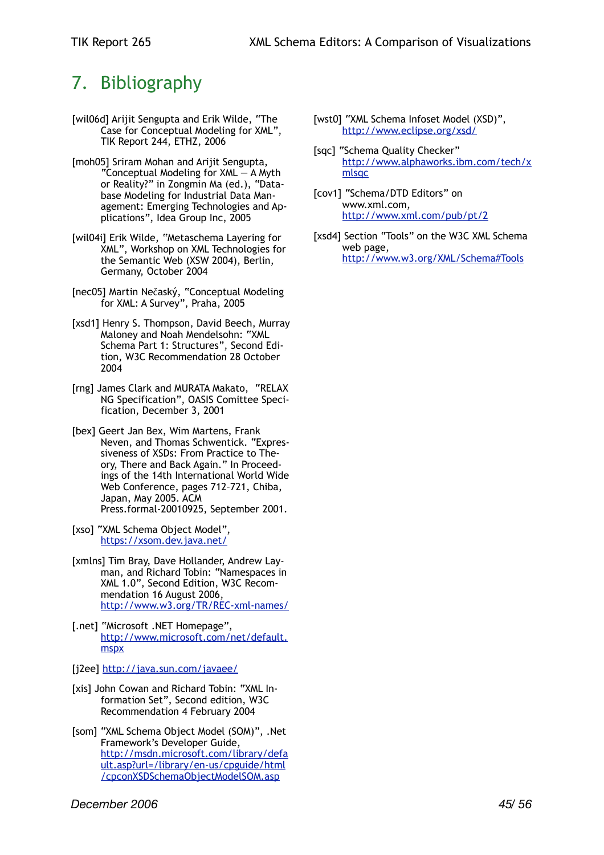## <span id="page-44-0"></span>7. Bibliography

- <span id="page-44-1"></span>[wil06d] Arijit Sengupta and Erik Wilde, "The Case for Conceptual Modeling for XML", TIK Report 244, ETHZ, 2006
- <span id="page-44-3"></span>[moh05] Sriram Mohan and Arijit Sengupta, "Conceptual Modeling for XML — A Myth or Reality?" in Zongmin Ma (ed.), "Database Modeling for Industrial Data Management: Emerging Technologies and Applications", Idea Group Inc, 2005
- [wil04i] Erik Wilde, "Metaschema Layering for XML", Workshop on XML Technologies for the Semantic Web (XSW 2004), Berlin, Germany, October 2004
- <span id="page-44-2"></span>[nec05] Martin Nečaský, "Conceptual Modeling for XML: A Survey", Praha, 2005
- <span id="page-44-4"></span>[xsd1] Henry S. Thompson, David Beech, Murray Maloney and Noah Mendelsohn: "XML Schema Part 1: Structures", Second Edition, W3C Recommendation 28 October 2004
- <span id="page-44-8"></span>[rng] James Clark and MURATA Makato, "RELAX NG Specification", OASIS Comittee Specification, December 3, 2001
- <span id="page-44-9"></span>[bex] Geert Jan Bex, Wim Martens, Frank Neven, and Thomas Schwentick. "Expressiveness of XSDs: From Practice to Theory, There and Back Again." In Proceedings of the 14th International World Wide Web Conference, pages 712–721, Chiba, Japan, May 2005. ACM Press.formal-20010925, September 2001.
- <span id="page-44-11"></span>[xso] "XML Schema Object Model", [https://xsom.dev.java.net/](https://xsom.dev.java.net)
- <span id="page-44-5"></span>[xmlns] Tim Bray, Dave Hollander, Andrew Layman, and Richard Tobin: "Namespaces in XML 1.0", Second Edition, W3C Recommendation 16 August 2006, <http://www.w3.org/TR/REC-xml-names/>
- <span id="page-44-6"></span>[.net] "Microsoft .NET Homepage", [http://www.microsoft.com/net/default.](http://www.microsoft.com/net/default.mspx) [mspx](http://www.microsoft.com/net/default.mspx)
- <span id="page-44-7"></span>[j2ee]<http://java.sun.com/javaee/>
- <span id="page-44-10"></span>[xis] John Cowan and Richard Tobin: "XML Information Set", Second edition, W3C Recommendation 4 February 2004
- <span id="page-44-13"></span>[som] "XML Schema Object Model (SOM)", .Net Framework's Developer Guide, [http://msdn.microsoft.com/library/defa](http://msdn.microsoft.com/library/default.asp?url=/library/en-us/cpguide/html/cpconXSDSchemaObjectModelSOM.asp) [ult.asp?url=/library/en-us/cpguide/html](http://msdn.microsoft.com/library/default.asp?url=/library/en-us/cpguide/html/cpconXSDSchemaObjectModelSOM.asp) [/cpconXSDSchemaObjectModelSOM.asp](http://msdn.microsoft.com/library/default.asp?url=/library/en-us/cpguide/html/cpconXSDSchemaObjectModelSOM.asp)
- <span id="page-44-12"></span>[wst0] "XML Schema Infoset Model (XSD)", [http://www.eclipse.org/xsd/](http://livepage.apple.com/)
- <span id="page-44-14"></span>[sqc] "Schema Quality Checker" [http://www.alphaworks.ibm.com/tech/x](http://www.alphaworks.ibm.com/tech/xmlsqc) [mlsqc](http://www.alphaworks.ibm.com/tech/xmlsqc)
- <span id="page-44-15"></span>[cov1] "Schema/DTD Editors" on www.xml.com, <http://www.xml.com/pub/pt/2>
- <span id="page-44-16"></span>[xsd4] Section "Tools" on the W3C XML Schema web page, [http://www.w3.org/XML/Schema#Tools](http://www.w3.org/XML/Schema%23Tools)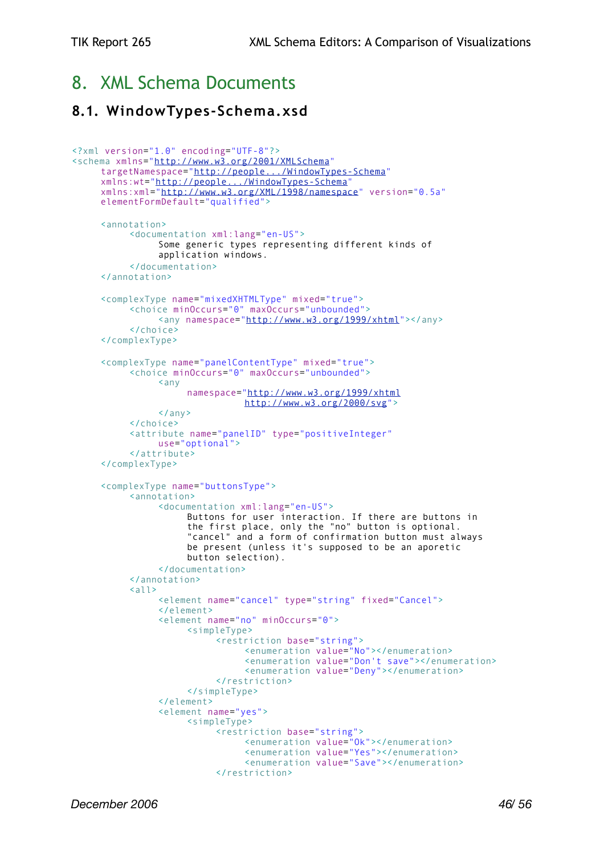## <span id="page-45-0"></span>8. XML Schema Documents

### <span id="page-45-1"></span>**8.1. WindowTypes-Schema.xsd**

```
<?xml version="1.0" encoding="UTF-8"?>
<schema xmlns="http://www.w3.org/2001/XMLSchema"
     targetNamespace="http://people.../WindowTypes-Schema"
     xmlns:wt="http://people.../WindowTypes-Schema"
     xmlns:xml="http://www.w3.org/XML/1998/namespace" version="0.5a"
     elementFormDefault="qualified">
     <annotation>
          <documentation xml:lang="en-US">
                Some generic types representing different kinds of
                application windows.
          </documentation>
     </annotation>
     <complexType name="mixedXHTMLType" mixed="true">
          <choice minOccurs="0" maxOccurs="unbounded">
                <any namespace="http://www.w3.org/1999/xhtml"></any>
          </choice>
     </complexType>
     <complexType name="panelContentType" mixed="true">
          <choice minOccurs="0" maxOccurs="unbounded">
                <any
                     namespace="http://www.w3.org/1999/xhtml
                                http://www.w3.org/2000/svg">
                \langle any \rangle</choice>
          <attribute name="panelID" type="positiveInteger"
                use="optional">
          </attribute>
     </complexType>
     <complexType name="buttonsType">
           <annotation>
                <documentation xml:lang="en-US">
                     Buttons for user interaction. If there are buttons in
                     the first place, only the "no" button is optional.
                     "cancel" and a form of confirmation button must always
                     be present (unless it's supposed to be an aporetic
                     button selection).
                </documentation>
          </annotation>
          \langleall\rangle<element name="cancel" type="string" fixed="Cancel">
                </element>
                <element name="no" minOccurs="0">
                     <simpleType>
                           <restriction base="string">
                                <enumeration value="No"></enumeration>
                                <enumeration value="Don't save"></enumeration>
                                <enumeration value="Deny"></enumeration>
                           </restriction>
                     </simpleType>
                </element>
                <element name="yes">
                     <simpleType>
                           <restriction base="string">
                                <enumeration value="Ok"></enumeration>
                                <enumeration value="Yes"></enumeration>
                                <enumeration value="Save"></enumeration>
                           </restriction>
```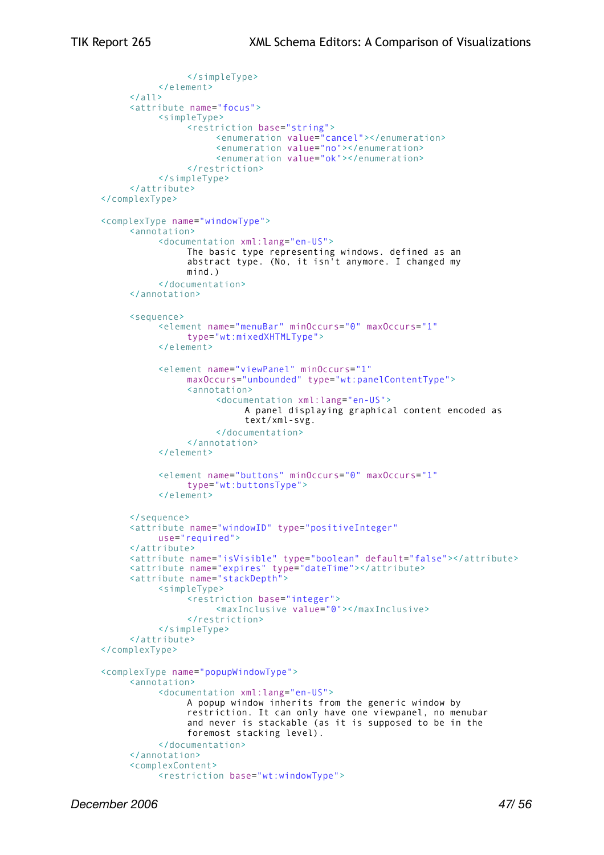```
</simpleType>
          </element>
     \langle/all\rangle<attribute name="focus">
          <simpleType>
                <restriction base="string">
                     <enumeration value="cancel"></enumeration>
                     <enumeration value="no"></enumeration>
                     <enumeration value="ok"></enumeration>
                </restriction>
           </simpleType>
     </attribute>
</complexType>
<complexType name="windowType">
     <annotation>
          <documentation xml:lang="en-US">
                The basic type representing windows. defined as an
                abstract type. (No, it isn't anymore. I changed my
                mind.)
          </documentation>
     </annotation>
     <sequence>
          <element name="menuBar" minOccurs="0" maxOccurs="1"
                type="wt:mixedXHTMLType">
          </element>
          <element name="viewPanel" minOccurs="1"
                maxOccurs="unbounded" type="wt:panelContentType">
                <annotation>
                     <documentation xml:lang="en-US">
                           A panel displaying graphical content encoded as
                           text/xml-svg.
                     </documentation>
                </annotation>
          </element>
          <element name="buttons" minOccurs="0" maxOccurs="1"
                type="wt:buttonsType">
          </element>
     </sequence>
     <attribute name="windowID" type="positiveInteger"
          use="required">
     </attribute>
     <attribute name="isVisible" type="boolean" default="false"></attribute>
     <attribute name="expires" type="dateTime"></attribute>
     <attribute name="stackDepth">
          <simpleType>
                <restriction base="integer">
                     <maxInclusive value="0"></maxInclusive>
                </restriction>
          </simpleType>
     </attribute>
</complexType>
<complexType name="popupWindowType">
     <annotation>
          <documentation xml:lang="en-US">
                A popup window inherits from the generic window by
                restriction. It can only have one viewpanel, no menubar
                and never is stackable (as it is supposed to be in the
                foremost stacking level).
          </documentation>
     </annotation>
     <complexContent>
           <restriction base="wt:windowType">
```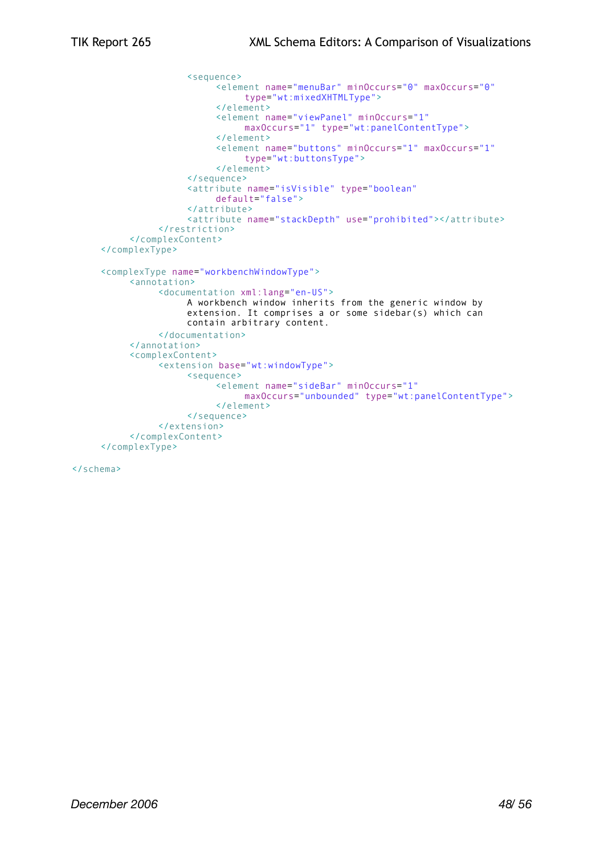```
<sequence>
                     <element name="menuBar" minOccurs="0" maxOccurs="0"
                          type="wt:mixedXHTMLType">
                     </element>
                     <element name="viewPanel" minOccurs="1"
                          maxOccurs="1" type="wt:panelContentType">
                     </element>
                     <element name="buttons" minOccurs="1" maxOccurs="1"
                          type="wt:buttonsType">
                     </element>
                </sequence>
                <attribute name="isVisible" type="boolean"
                     default="false">
                </attribute>
                <attribute name="stackDepth" use="prohibited"></attribute>
          </restriction>
     </complexContent>
</complexType>
<complexType name="workbenchWindowType">
     <annotation>
          <documentation xml:lang="en-US">
                A workbench window inherits from the generic window by
                extension. It comprises a or some sidebar(s) which can
                contain arbitrary content.
          </documentation>
     </annotation>
     <complexContent>
          <extension base="wt:windowType">
                <sequence>
                     <element name="sideBar" minOccurs="1"
                          maxOccurs="unbounded" type="wt:panelContentType">
                     </element>
                </sequence>
          </extension>
     </complexContent>
</complexType>
```
</schema>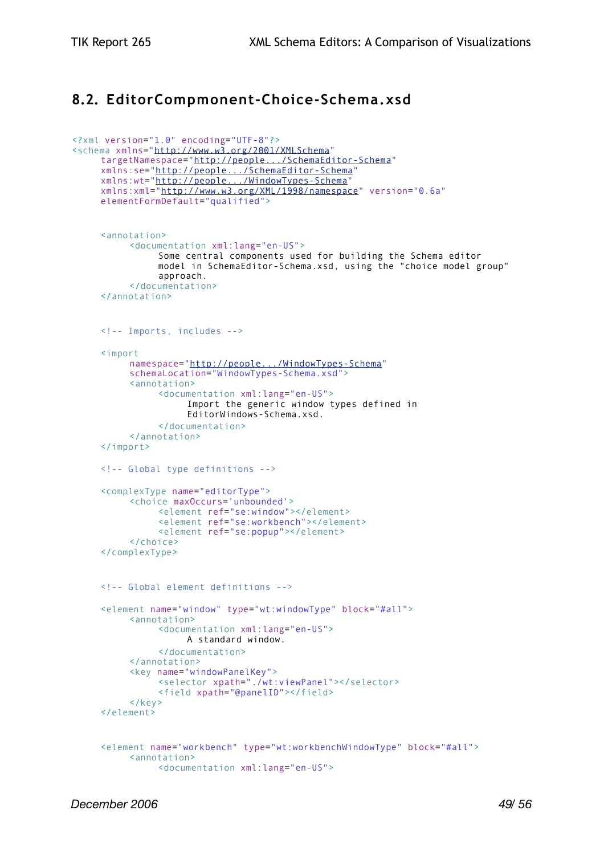## <span id="page-48-0"></span>**8.2. EditorCompmonent-Choice-Schema.xsd**

```
<?xml version="1.0" encoding="UTF-8"?>
<schema xmlns="http://www.w3.org/2001/XMLSchema"
     targetNamespace="http://people.../SchemaEditor-Schema"
     xmlns:se="http://people.../SchemaEditor-Schema"
     xmlns:wt="http://people.../WindowTypes-Schema"
     xmlns:xml="http://www.w3.org/XML/1998/namespace" version="0.6a"
     elementFormDefault="qualified">
     <annotation>
          <documentation xml:lang="en-US">
                Some central components used for building the Schema editor
               model in SchemaEditor-Schema.xsd, using the "choice model group"
                approach.
          </documentation>
     </annotation>
     <!-- Imports, includes -->
     <import
          namespace="http://people.../WindowTypes-Schema"
          schemaLocation="WindowTypes-Schema.xsd">
          <annotation>
                <documentation xml:lang="en-US">
                     Import the generic window types defined in
                     EditorWindows-Schema.xsd.
                </documentation>
          </annotation>
     </import>
     <!-- Global type definitions -->
     <complexType name="editorType">
          <choice maxOccurs='unbounded'>
               <element ref="se:window"></element>
                <element ref="se:workbench"></element>
                <element ref="se:popup"></element>
          </choice>
     </complexType>
     <!-- Global element definitions -->
     <element name="window" type="wt:windowType" block="#all">
          <annotation>
                <documentation xml:lang="en-US">
                     A standard window.
                </documentation>
          </annotation>
          <key name="windowPanelKey">
                <selector xpath="./wt:viewPanel"></selector>
                <field xpath="@panelID"></field>
          </key>
     </element>
     <element name="workbench" type="wt:workbenchWindowType" block="#all">
          <annotation>
                <documentation xml:lang="en-US">
```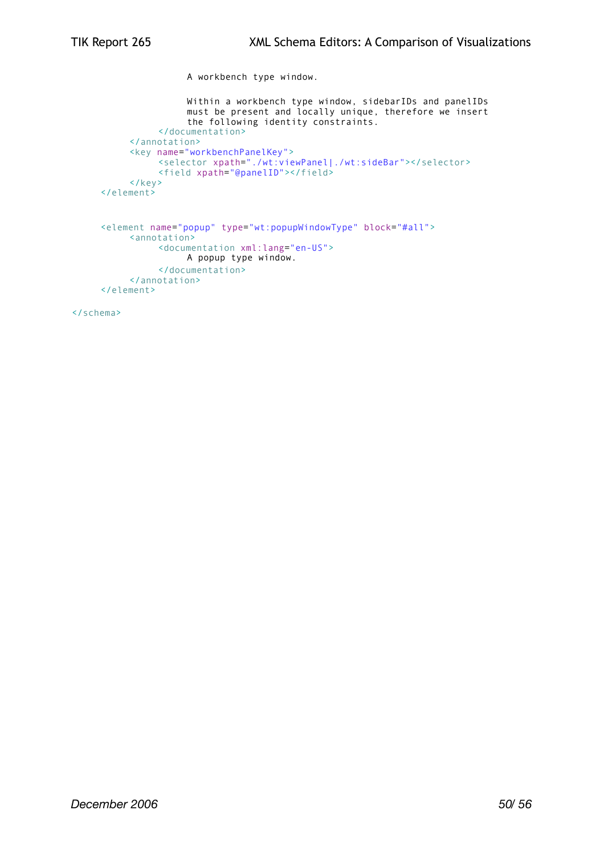A workbench type window. Within a workbench type window, sidebarIDs and panelIDs must be present and locally unique, therefore we insert the following identity constraints. </documentation> </annotation> <key name="workbenchPanelKey"> <selector xpath="./wt:viewPanel|./wt:sideBar"></selector> <field xpath="@panelID"></field> </key> </element> <element name="popup" type="wt:popupWindowType" block="#all"> <annotation> <documentation xml:lang="en-US">

```
A popup type window.
          </documentation>
     </annotation>
</element>
```
</schema>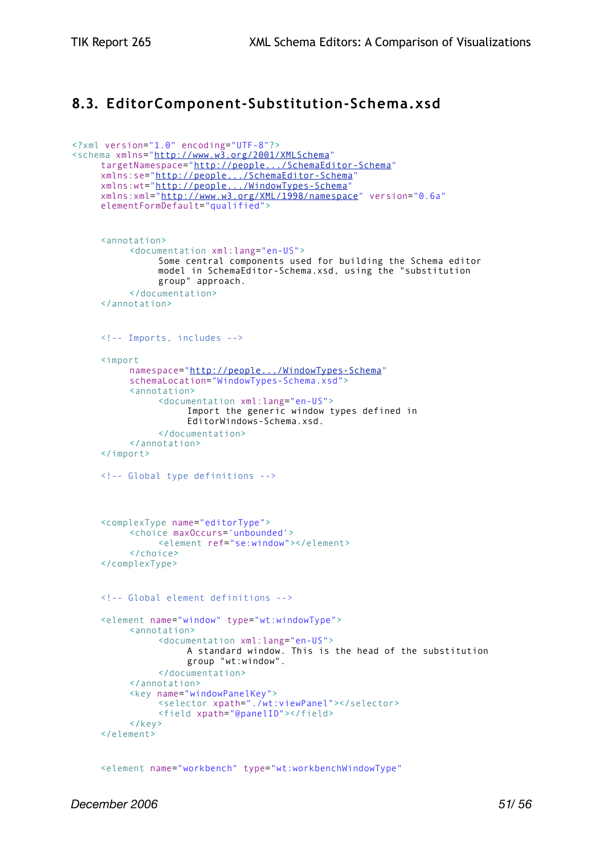## <span id="page-50-0"></span>**8.3. EditorComponent-Substitution-Schema.xsd**

```
<?xml version="1.0" encoding="UTF-8"?>
<schema xmlns="http://www.w3.org/2001/XMLSchema"
     targetNamespace="http://people.../SchemaEditor-Schema"
     xmlns:se="http://people.../SchemaEditor-Schema"
     xmlns:wt="http://people.../WindowTypes-Schema"
     xmlns:xml="http://www.w3.org/XML/1998/namespace" version="0.6a"
     elementFormDefault="qualified">
     <annotation>
           <documentation xml:lang="en-US">
                Some central components used for building the Schema editor
                model in SchemaEditor-Schema.xsd, using the "substitution
                group" approach.
          </documentation>
     </annotation>
     <!-- Imports, includes -->
     <import
          namespace="http://people.../WindowTypes-Schema"
          schemaLocation="WindowTypes-Schema.xsd">
          <annotation>
                <documentation xml:lang="en-US">
                     Import the generic window types defined in
                     EditorWindows-Schema.xsd.
                </documentation>
          </annotation>
     </import>
     <!-- Global type definitions -->
     <complexType name="editorType">
          <choice maxOccurs='unbounded'>
                <element ref="se:window"></element>
          </choice>
     </complexType>
     <!-- Global element definitions -->
     <element name="window" type="wt:windowType">
           <annotation>
                <documentation xml:lang="en-US">
                     A standard window. This is the head of the substitution
                     group "wt:window".
                </documentation>
          </annotation>
          <key name="windowPanelKey">
                <selector xpath="./wt:viewPanel"></selector>
                <field xpath="@panelID"></field>
          </key>
     \langle/element>
```
<element name="workbench" type="wt:workbenchWindowType"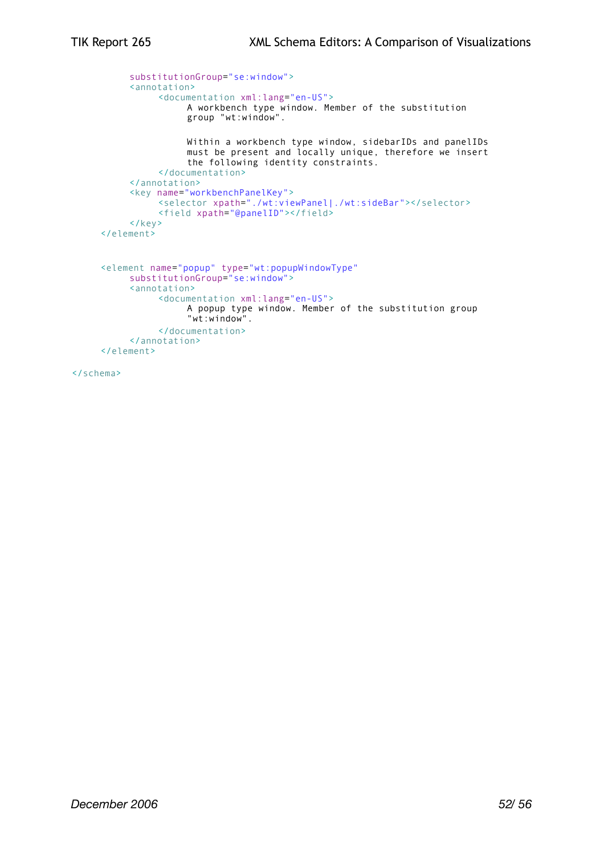```
substitutionGroup="se:window">
     <annotation>
          <documentation xml:lang="en-US">
                A workbench type window. Member of the substitution
                group "wt:window".
               Within a workbench type window, sidebarIDs and panelIDs
               must be present and locally unique, therefore we insert
                the following identity constraints.
          </documentation>
     </annotation>
     <key name="workbenchPanelKey">
           <selector xpath="./wt:viewPanel|./wt:sideBar"></selector>
           <field xpath="@panelID"></field>
     \langle/key>
</element>
<element name="popup" type="wt:popupWindowType"
     substitutionGroup="se:window">
     <annotation>
          <documentation xml:lang="en-US">
               A popup type window. Member of the substitution group
                "wt:window".
          </documentation>
     </annotation>
</element>
```
</schema>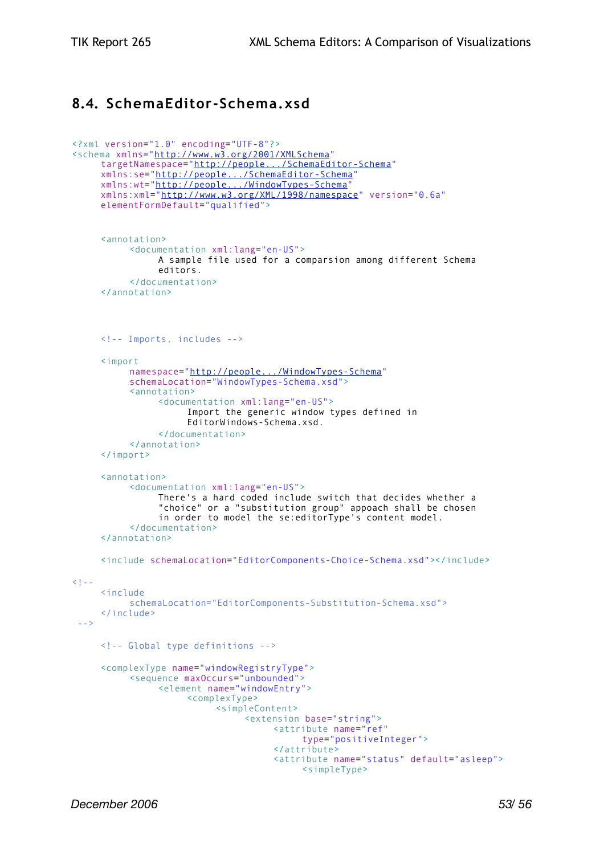### <span id="page-52-0"></span>**8.4. SchemaEditor-Schema.xsd**

```
<?xml version="1.0" encoding="UTF-8"?>
<schema xmlns="http://www.w3.org/2001/XMLSchema"
     targetNamespace="http://people.../SchemaEditor-Schema"
     xmlns:se="http://people.../SchemaEditor-Schema"
     xmlns:wt="http://people.../WindowTypes-Schema"
     xmlns:xml="http://www.w3.org/XML/1998/namespace" version="0.6a"
     elementFormDefault="qualified">
     <annotation>
          <documentation xml:lang="en-US">
                A sample file used for a comparsion among different Schema
                editors.
          </documentation>
     </annotation>
     <!-- Imports, includes -->
     <import
          namespace="http://people.../WindowTypes-Schema"
          schemaLocation="WindowTypes-Schema.xsd">
          <annotation>
                <documentation xml:lang="en-US">
                     Import the generic window types defined in
                     EditorWindows-Schema.xsd.
                </documentation>
          </annotation>
     </import>
     <annotation>
           <documentation xml:lang="en-US">
                There's a hard coded include switch that decides whether a
                "choice" or a "substitution group" appoach shall be chosen
                in order to model the se:editorType's content model.
          </documentation>
     </annotation>
     <include schemaLocation="EditorComponents-Choice-Schema.xsd"></include>
< ! - -<include
          schemaLocation="EditorComponents-Substitution-Schema.xsd">
     </include>
  -->
     <!-- Global type definitions -->
     <complexType name="windowRegistryType">
           <sequence maxOccurs="unbounded">
                <element name="windowEntry">
                     <complexType>
                           <simpleContent>
                                <extension base="string">
                                     <attribute name="ref"
                                          type="positiveInteger">
                                     </attribute>
                                     <attribute name="status" default="asleep">
                                           <simpleType>
```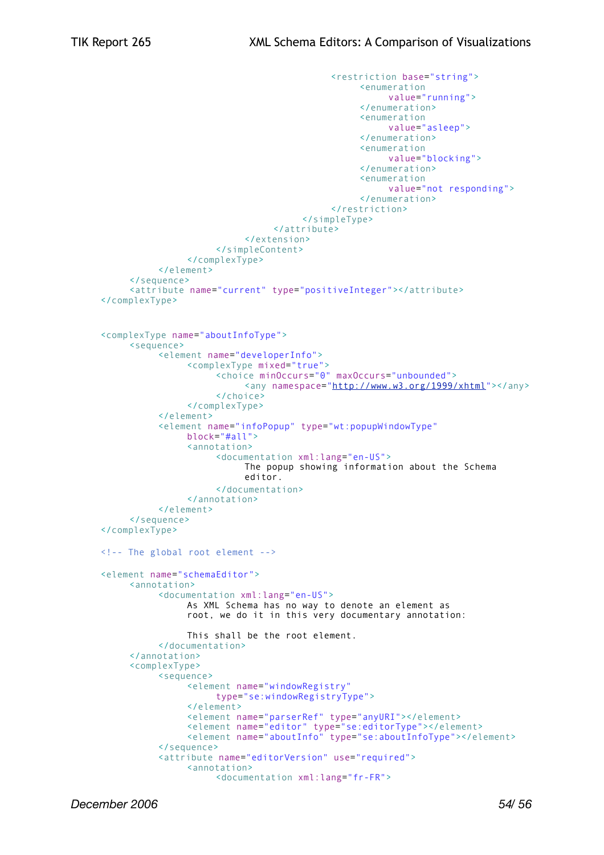```
<restriction base="string">
                                                 <enumeration 
                                                      value="running">
                                                 </enumeration>
                                                 <enumeration 
                                                      value="asleep">
                                                </enumeration>
                                                 <enumeration 
                                                      value="blocking">
                                                </enumeration>
                                                 <enumeration
                                                      value="not responding">
                                                 </enumeration>
                                           </restriction>
                                      </simpleType>
                                </attribute>
                           </extension>
                     </simpleContent>
                </complexType>
          </element>
     </sequence>
     <attribute name="current" type="positiveInteger"></attribute>
</complexType>
<complexType name="aboutInfoType">
     <sequence>
          <element name="developerInfo">
                <complexType mixed="true">
                     <choice minOccurs="0" maxOccurs="unbounded">
                          <any namespace="http://www.w3.org/1999/xhtml"></any>
                     </choice>
                </complexType>
          </element>
          <element name="infoPopup" type="wt:popupWindowType"
                block="#all">
                <annotation>
                     <documentation xml:lang="en-US">
                           The popup showing information about the Schema
                           editor.
                     </documentation>
                </annotation>
          </element>
     </sequence>
</complexType>
<!-- The global root element -->
<element name="schemaEditor">
     <annotation>
          <documentation xml:lang="en-US">
                As XML Schema has no way to denote an element as
                root, we do it in this very documentary annotation:
                This shall be the root element.
          </documentation>
     </annotation>
     <complexType>
          <sequence>
                <element name="windowRegistry"
                     type="se:windowRegistryType">
                </element>
                <element name="parserRef" type="anyURI"></element>
                <element name="editor" type="se:editorType"></element>
                <element name="aboutInfo" type="se:aboutInfoType"></element>
          </sequence>
          <attribute name="editorVersion" use="required">
                <annotation>
                     <documentation xml:lang="fr-FR">
```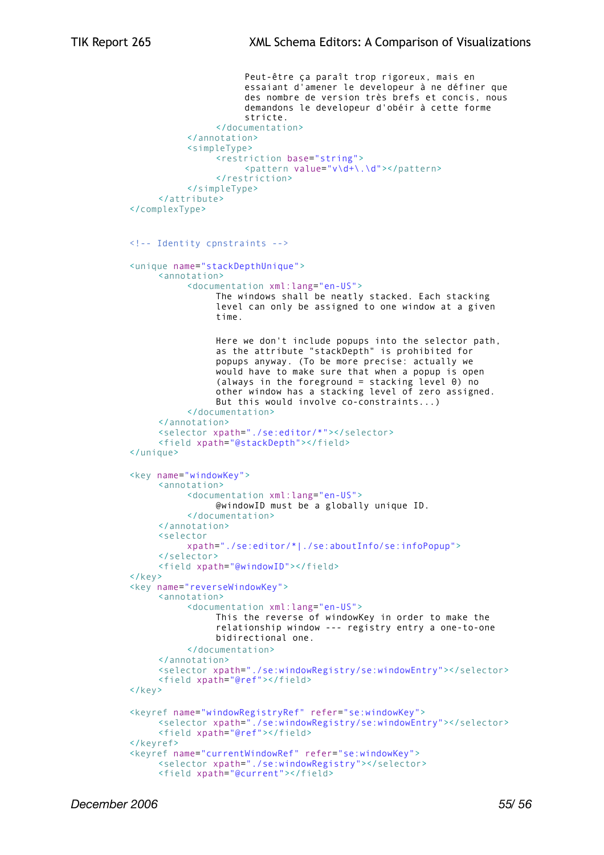```
Peut-être ça paraît trop rigoreux, mais en
                     essaiant d'amener le developeur à ne définer que
                     des nombre de version très brefs et concis, nous
                     demandons le developeur d'obéir à cette forme
                     stricte.
                </documentation>
          </annotation>
          <simpleType>
                <restriction base="string">
                     <pattern value="v\d+\.\d"></pattern>
                </restriction>
          </simpleType>
     </attribute>
</complexType>
<!-- Identity cpnstraints -->
<unique name="stackDepthUnique">
     <annotation>
          <documentation xml:lang="en-US">
                The windows shall be neatly stacked. Each stacking
                level can only be assigned to one window at a given
                time.
                Here we don't include popups into the selector path,
                as the attribute "stackDepth" is prohibited for
                popups anyway. (To be more precise: actually we
                would have to make sure that when a popup is open
                (always in the foreground = stacking level 0) no
                other window has a stacking level of zero assigned.
                But this would involve co-constraints...)
          </documentation>
     </annotation>
     <selector xpath="./se:editor/*"></selector>
     <field xpath="@stackDepth"></field>
</unique>
<key name="windowKey">
     <annotation>
          <documentation xml:lang="en-US">
                @windowID must be a globally unique ID.
          </documentation>
     </annotation>
     <selector
          xpath="./se:editor/*|./se:aboutInfo/se:infoPopup">
     </selector>
     <field xpath="@windowID"></field>
</key>
<key name="reverseWindowKey">
     <annotation>
          <documentation xml:lang="en-US">
                This the reverse of windowKey in order to make the
                relationship window --- registry entry a one-to-one
                bidirectional one.
          </documentation>
     </annotation>
     <selector xpath="./se:windowRegistry/se:windowEntry"></selector>
     <field xpath="@ref"></field>
\langle/key>
<keyref name="windowRegistryRef" refer="se:windowKey">
     <selector xpath="./se:windowRegistry/se:windowEntry"></selector>
     <field xpath="@ref"></field>
</keyref>
<keyref name="currentWindowRef" refer="se:windowKey">
     <selector xpath="./se:windowRegistry"></selector>
     <field xpath="@current"></field>
```